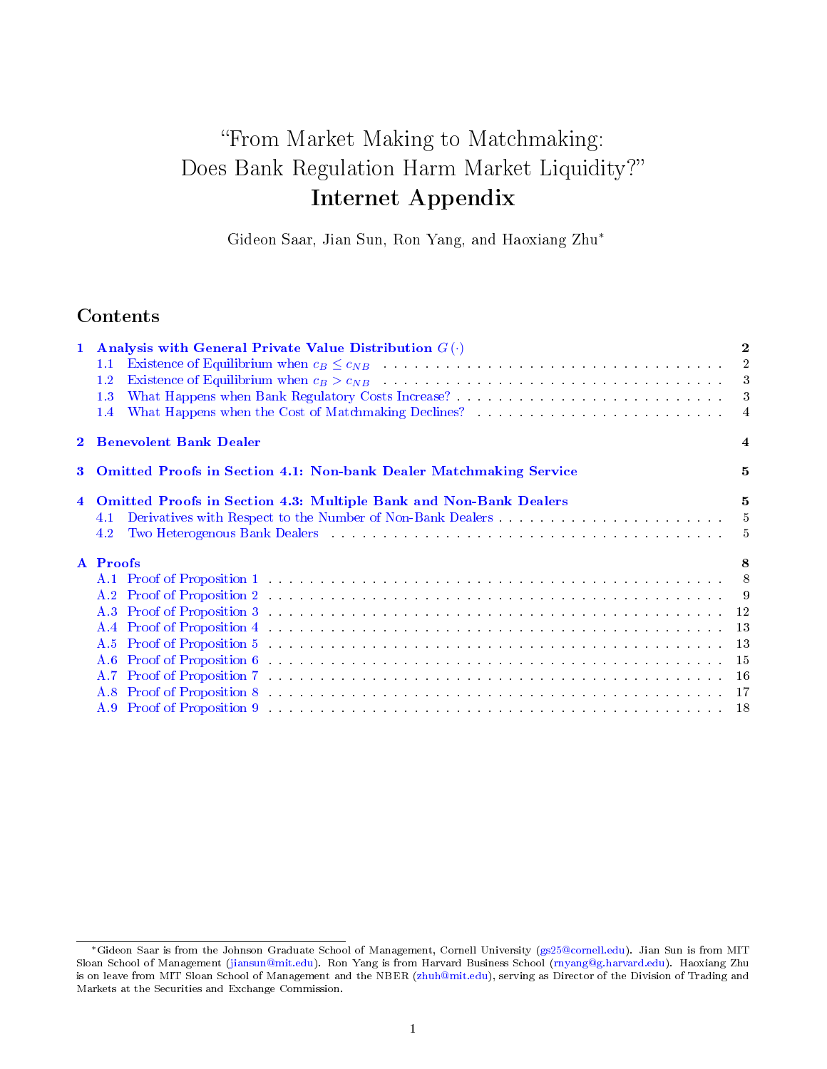# From Market Making to Matchmaking: Does Bank Regulation Harm Market Liquidity? Internet Appendix

Gideon Saar, Jian Sun, Ron Yang, and Haoxiang Zhu<sup>∗</sup>

# **Contents**

|                         | 1 Analysis with General Private Value Distribution $G(\cdot)$                                                                                                                                                                         | $\overline{2}$ |
|-------------------------|---------------------------------------------------------------------------------------------------------------------------------------------------------------------------------------------------------------------------------------|----------------|
|                         | Existence of Equilibrium when $c_B \leq c_{NB}$ (e.g. ) and (e.g. ) and (e.g. ) are not contained as a set of Equilibrium when $c_B \leq c_{NB}$<br>1.1                                                                               |                |
|                         | Existence of Equilibrium when $c_B > c_{NB}$ (e.g. the subset of $\sim$ 3<br>$1.2\,$                                                                                                                                                  |                |
|                         | 1.3                                                                                                                                                                                                                                   |                |
|                         | $1.4^{\circ}$                                                                                                                                                                                                                         | $\overline{4}$ |
| $\overline{2}$          | <b>Benevolent Bank Dealer</b>                                                                                                                                                                                                         | 4              |
| 3                       | <b>Omitted Proofs in Section 4.1: Non-bank Dealer Matchmaking Service</b>                                                                                                                                                             | 5              |
| $\overline{\mathbf{4}}$ | Omitted Proofs in Section 4.3: Multiple Bank and Non-Bank Dealers                                                                                                                                                                     | $\mathbf 5$    |
|                         | 4.1                                                                                                                                                                                                                                   |                |
|                         | Two Heterogenous Bank Dealers (Albert 2018) (2014) (2018) (2018) (2018) (2018) (2018) (2018) (2018) (2018) (2018) (2018) (2018) (2018) (2018) (2018) (2018) (2018) (2018) (2018) (2018) (2018) (2018) (2018) (2018) (2018) (20<br>4.2 |                |
|                         | A Proofs                                                                                                                                                                                                                              | 8              |
|                         |                                                                                                                                                                                                                                       |                |
|                         |                                                                                                                                                                                                                                       |                |
|                         |                                                                                                                                                                                                                                       |                |
|                         | A.4 Proof of Proposition 4 (a) and a contract of the contract of the contract of the contract of the contract of the contract of the contract of the contract of the contract of the contract of the contract of the contract         |                |
|                         |                                                                                                                                                                                                                                       |                |
|                         |                                                                                                                                                                                                                                       |                |
|                         |                                                                                                                                                                                                                                       |                |
|                         |                                                                                                                                                                                                                                       |                |
|                         |                                                                                                                                                                                                                                       |                |

<sup>∗</sup>Gideon Saar is from the Johnson Graduate School of Management, Cornell University [\(gs25@cornell.edu\)](mailto:gs25@cornell.edu). Jian Sun is from MIT Sloan School of Management [\(jiansun@mit.edu\)](mailto:jiansun@mit.edu). Ron Yang is from Harvard Business School [\(rnyang@g.harvard.edu\)](mailto:rnyang@g.harvard.edu). Haoxiang Zhu is on leave from MIT Sloan School of Management and the NBER [\(zhuh@mit.edu\)](mailto:zhuh@mit.edu), serving as Director of the Division of Trading and Markets at the Securities and Exchange Commission.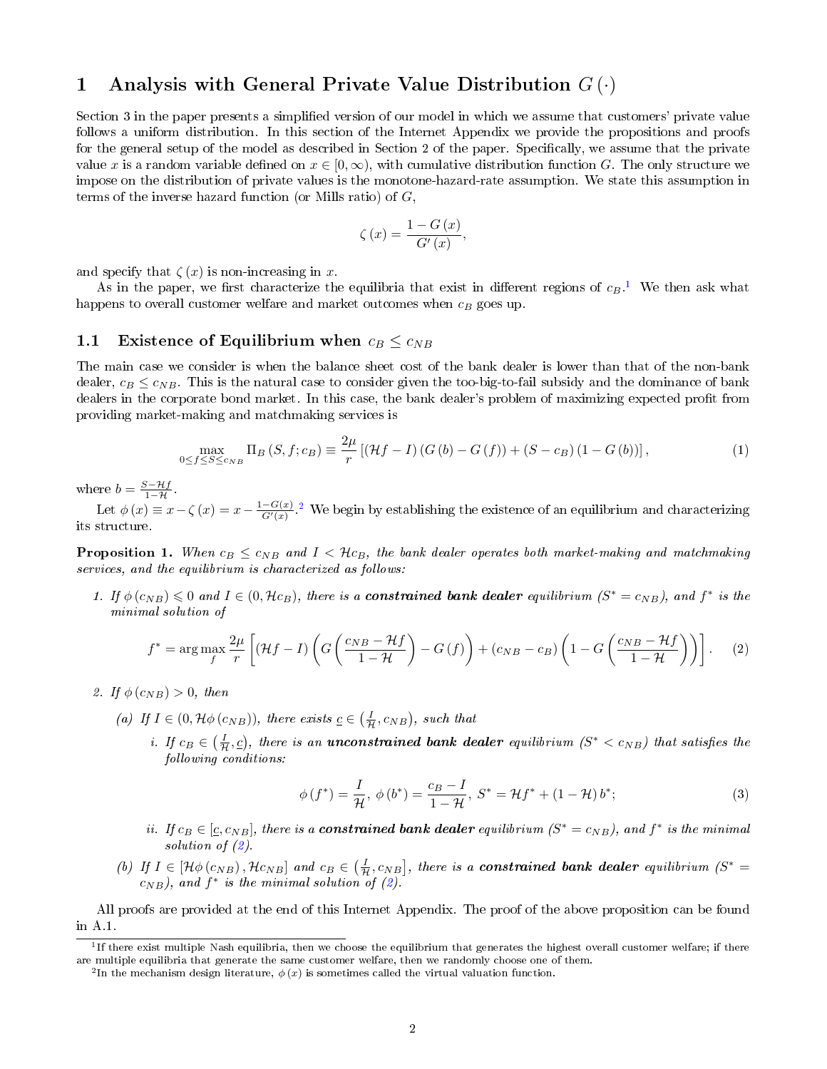# <span id="page-1-0"></span>1 Analysis with General Private Value Distribution  $G(\cdot)$

Section 3 in the paper presents a simplied version of our model in which we assume that customers' private value follows a uniform distribution. In this section of the Internet Appendix we provide the propositions and proofs for the general setup of the model as described in Section 2 of the paper. Specifically, we assume that the private value x is a random variable defined on  $x \in [0, \infty)$ , with cumulative distribution function G. The only structure we impose on the distribution of private values is the monotone-hazard-rate assumption. We state this assumption in terms of the inverse hazard function (or Mills ratio) of  $G$ ,

$$
\zeta(x) = \frac{1 - G(x)}{G'(x)},
$$

and specify that  $\zeta(x)$  is non-increasing in x.

As in the paper, we first characterize the equilibria that exist in different regions of  $c_B$ .<sup>[1](#page-1-3)</sup> We then ask what happens to overall customer welfare and market outcomes when  $c_B$  goes up.

## <span id="page-1-1"></span>1.1 Existence of Equilibrium when  $c_B \leq c_{NB}$

The main case we consider is when the balance sheet cost of the bank dealer is lower than that of the non-bank dealer,  $c_B \leq c_{NB}$ . This is the natural case to consider given the too-big-to-fail subsidy and the dominance of bank dealers in the corporate bond market. In this case, the bank dealer's problem of maximizing expected profit from providing market-making and matchmaking services is

$$
\max_{0 \le f \le S \le c_{NB}} \Pi_B(S, f; c_B) \equiv \frac{2\mu}{r} \left[ (\mathcal{H}f - I) \left( G \left( b \right) - G \left( f \right) \right) + (S - c_B) \left( 1 - G \left( b \right) \right) \right],\tag{1}
$$

where  $b = \frac{S - Hf}{1 - H}$ .

Let  $\phi(x) \equiv x - \zeta(x) = x - \frac{1 - G(x)}{G'(x)}$ .<sup>[2](#page-1-4)</sup> We begin by establishing the existence of an equilibrium and characterizing its structure.

<span id="page-1-2"></span>**Proposition 1.** When  $c_B \leq c_{NB}$  and  $I < Hc_B$ , the bank dealer operates both market-making and matchmaking services, and the equilibrium is characterized as follows:

1. If  $\phi(c_{NB}) \leq 0$  and  $I \in (0, \mathcal{H}c_B)$ , there is a **constrained bank dealer** equilibrium  $(S^* = c_{NB})$ , and  $f^*$  is the minimal solution of

<span id="page-1-5"></span>
$$
f^* = \arg\max_{f} \frac{2\mu}{r} \left[ (\mathcal{H}f - I) \left( G \left( \frac{c_{NB} - \mathcal{H}f}{1 - \mathcal{H}} \right) - G \left( f \right) \right) + (c_{NB} - c_B) \left( 1 - G \left( \frac{c_{NB} - \mathcal{H}f}{1 - \mathcal{H}} \right) \right) \right].
$$
 (2)

- 2. If  $\phi(c_{NB}) > 0$ , then
	- (a) If  $I \in (0, \mathcal{H} \phi(c_{NB}))$ , there exists  $c \in (\frac{I}{\mathcal{H}}, c_{NB})$ , such that
		- i. If  $c_B \in (\frac{I}{H}, \underline{c})$ , there is an **unconstrained bank dealer** equilibrium  $(S^* < c_{NB})$  that satisfies the following conditions:

$$
\phi(f^*) = \frac{I}{\mathcal{H}}, \ \phi(b^*) = \frac{c_B - I}{1 - \mathcal{H}}, \ S^* = \mathcal{H}f^* + (1 - \mathcal{H})b^*;
$$
 (3)

- ii. If  $c_B \in [\underline{c}, c_{NB}]$ , there is a **constrained bank dealer** equilibrium  $(S^* = c_{NB})$ , and  $f^*$  is the minimal solution of  $(2)$ .
- (b) If  $I \in [\mathcal{H} \phi(c_{NB}), \mathcal{H}c_{NB}]$  and  $c_B \in (\frac{I}{\mathcal{H}}, c_{NB}]$ , there is a **constrained bank dealer** equilibrium  $(S^* =$  $c_{NB}$ ), and  $f^*$  is the minimal solution of [\(2\)](#page-1-5).

All proofs are provided at the end of this Internet Appendix. The proof of the above proposition can be found in A.1.

<span id="page-1-3"></span><sup>&</sup>lt;sup>1</sup>If there exist multiple Nash equilibria, then we choose the equilibrium that generates the highest overall customer welfare; if there are multiple equilibria that generate the same customer welfare, then we randomly choose one of them.

<span id="page-1-4"></span><sup>&</sup>lt;sup>2</sup>In the mechanism design literature,  $\phi(x)$  is sometimes called the virtual valuation function.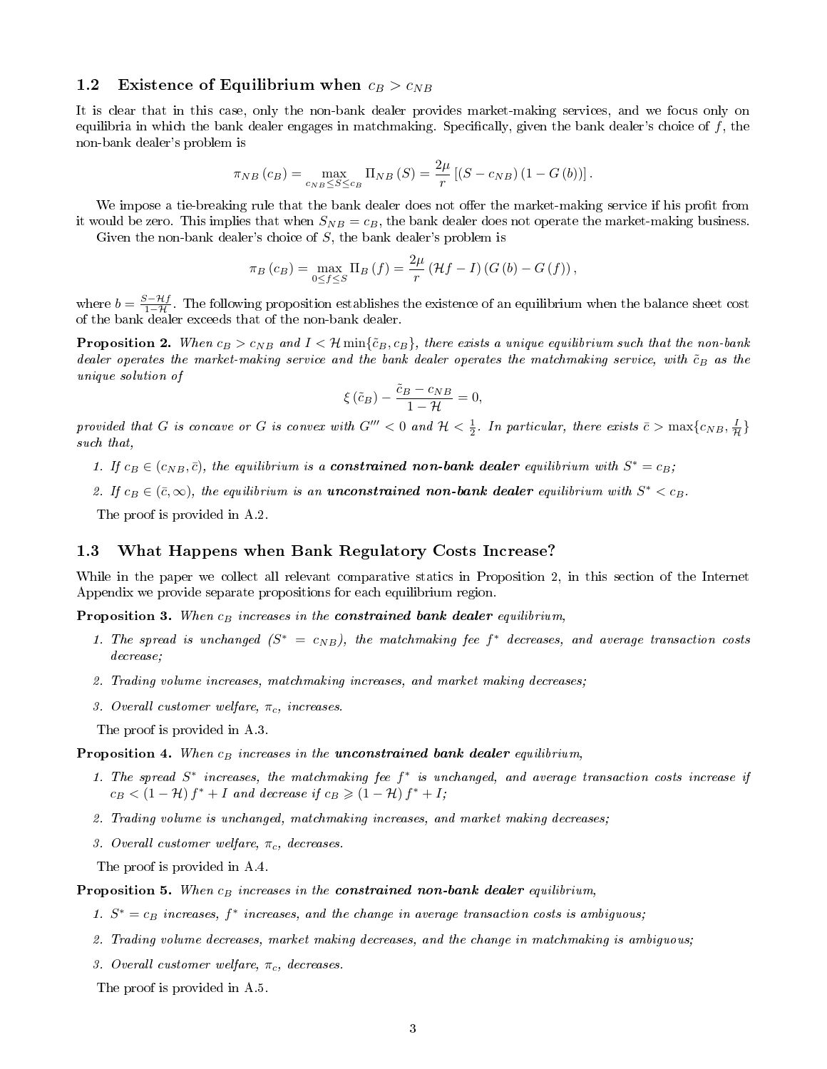## <span id="page-2-0"></span>1.2 Existence of Equilibrium when  $c_B > c_{NB}$

It is clear that in this case, only the non-bank dealer provides market-making services, and we focus only on equilibria in which the bank dealer engages in matchmaking. Specifically, given the bank dealer's choice of  $f$ , the non-bank dealer's problem is

$$
\pi_{NB}\left(c_{B}\right) = \max_{c_{NB} \leq S \leq c_{B}} \Pi_{NB}\left(S\right) = \frac{2\mu}{r} \left[\left(S - c_{NB}\right)\left(1 - G\left(b\right)\right)\right].
$$

We impose a tie-breaking rule that the bank dealer does not offer the market-making service if his profit from it would be zero. This implies that when  $S_{NB} = c_B$ , the bank dealer does not operate the market-making business. Given the non-bank dealer's choice of  $S$ , the bank dealer's problem is

 $\pi_B(c_B) = \max_{0 \le f \le S} \Pi_B(f) = \frac{2\mu}{r} (\mathcal{H}f - I) (G(b) - G(f)),$ 

where  $b = \frac{S - Hf}{1 - H}$ . The following proposition establishes the existence of an equilibrium when the balance sheet cost of the bank dealer exceeds that of the non-bank dealer.

<span id="page-2-2"></span>**Proposition 2.** When  $c_B > c_{NB}$  and  $I < H$  min $\{\tilde{c}_B, c_B\}$ , there exists a unique equilibrium such that the non-bank dealer operates the market-making service and the bank dealer operates the matchmaking service, with  $\tilde{c}_B$  as the unique solution of

$$
\xi\left(\tilde{c}_B\right) - \frac{\tilde{c}_B - c_{NB}}{1 - \mathcal{H}} = 0,
$$

provided that G is concave or G is convex with G'''  $<$  0 and  $\mathcal{H}$   $<$   $\frac{1}{2}$ . In particular, there exists  $\bar{c}$   $>$   $\max\{c_{NB},\frac{I}{\mathcal{H}}\}$ such that,

- 1. If  $c_B \in (c_{NB}, \bar{c})$ , the equilibrium is a **constrained non-bank dealer** equilibrium with  $S^* = c_B$ ;
- 2. If  $c_B \in (\bar{c}, \infty)$ , the equilibrium is an **unconstrained non-bank dealer** equilibrium with  $S^* < c_B$ .

The proof is provided in A.2.

## <span id="page-2-1"></span>1.3 What Happens when Bank Regulatory Costs Increase?

While in the paper we collect all relevant comparative statics in Proposition 2, in this section of the Internet Appendix we provide separate propositions for each equilibrium region.

<span id="page-2-3"></span>**Proposition 3.** When  $c_B$  increases in the **constrained bank dealer** equilibrium,

- 1. The spread is unchanged  $(S^* = c_{NB})$ , the matchmaking fee  $f^*$  decreases, and average transaction costs decrease;
- 2. Trading volume increases, matchmaking increases, and market making decreases;
- 3. Overall customer welfare,  $\pi_c$ , increases.

The proof is provided in A.3.

#### <span id="page-2-4"></span>**Proposition 4.** When  $c_B$  increases in the unconstrained bank dealer equilibrium,

- 1. The spread  $S^*$  increases, the matchmaking fee  $f^*$  is unchanged, and average transaction costs increase if  $c_B < (1 - \mathcal{H}) f^* + I$  and decrease if  $c_B \geq (1 - \mathcal{H}) f^* + I$ ;
- 2. Trading volume is unchanged, matchmaking increases, and market making decreases;
- 3. Overall customer welfare,  $\pi_c$ , decreases.
- The proof is provided in A.4.

#### <span id="page-2-5"></span>**Proposition 5.** When  $c_B$  increases in the **constrained non-bank dealer** equilibrium,

- 1.  $S^* = c_B$  increases,  $f^*$  increases, and the change in average transaction costs is ambiguous;
- 2. Trading volume decreases, market making decreases, and the change in matchmaking is ambiguous;
- 3. Overall customer welfare,  $\pi_c$ , decreases.

The proof is provided in A.5.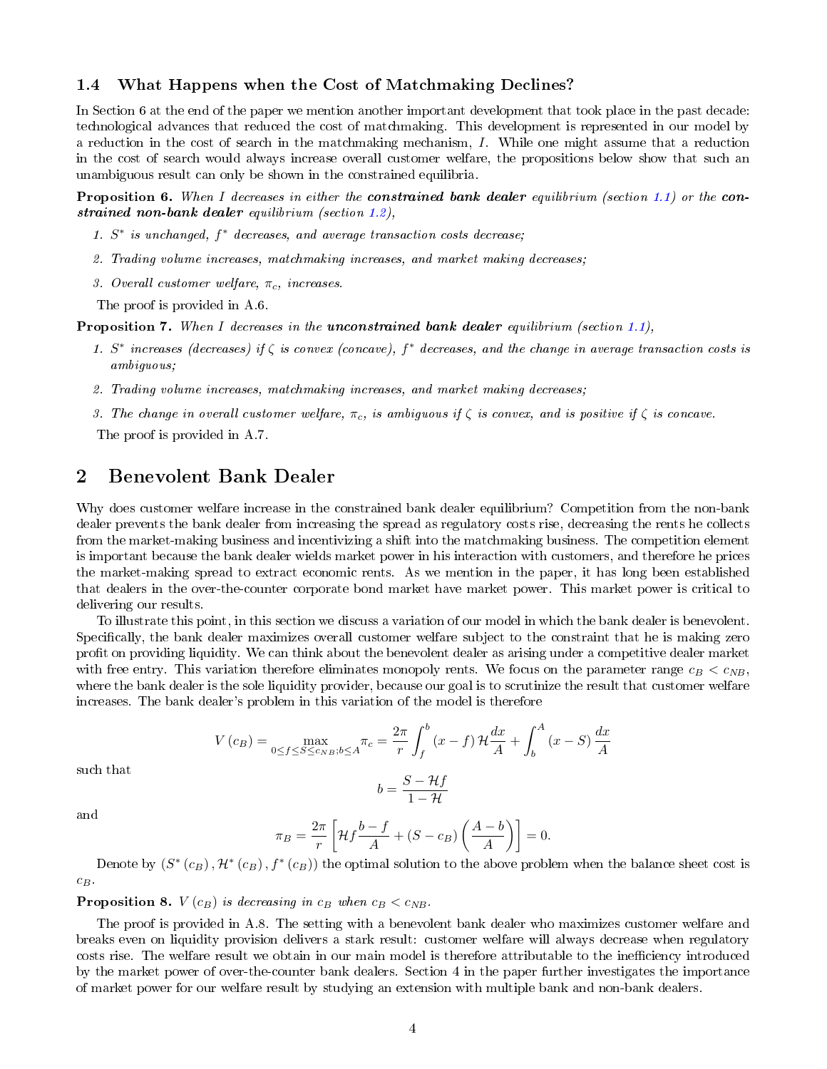## <span id="page-3-0"></span>1.4 What Happens when the Cost of Matchmaking Declines?

In Section 6 at the end of the paper we mention another important development that took place in the past decade: technological advances that reduced the cost of matchmaking. This development is represented in our model by a reduction in the cost of search in the matchmaking mechanism, I. While one might assume that a reduction in the cost of search would always increase overall customer welfare, the propositions below show that such an unambiguous result can only be shown in the constrained equilibria.

<span id="page-3-2"></span>**Proposition 6.** When I decreases in either the **constrained bank dealer** equilibrium (section [1.1\)](#page-1-1) or the **con**strained non-bank dealer equilibrium (section [1.2\)](#page-2-0),

- 1. S<sup>\*</sup> is unchanged,  $f^*$  decreases, and average transaction costs decrease;
- 2. Trading volume increases, matchmaking increases, and market making decreases;
- 3. Overall customer welfare,  $\pi_c$ , increases.

The proof is provided in A.6.

<span id="page-3-3"></span>**Proposition 7.** When I decreases in the **unconstrained bank dealer** equilibrium (section [1.1\)](#page-1-1),

- 1. S<sup>\*</sup> increases (decreases) if  $\zeta$  is convex (concave),  $f^*$  decreases, and the change in average transaction costs is ambiguous;
- 2. Trading volume increases, matchmaking increases, and market making decreases;
- 3. The change in overall customer welfare,  $\pi_c$ , is ambiguous if  $\zeta$  is convex, and is positive if  $\zeta$  is concave.

The proof is provided in A.7.

# <span id="page-3-1"></span>2 Benevolent Bank Dealer

Why does customer welfare increase in the constrained bank dealer equilibrium? Competition from the non-bank dealer prevents the bank dealer from increasing the spread as regulatory costs rise, decreasing the rents he collects from the market-making business and incentivizing a shift into the matchmaking business. The competition element is important because the bank dealer wields market power in his interaction with customers, and therefore he prices the market-making spread to extract economic rents. As we mention in the paper, it has long been established that dealers in the over-the-counter corporate bond market have market power. This market power is critical to delivering our results.

To illustrate this point, in this section we discuss a variation of our model in which the bank dealer is benevolent. Specifically, the bank dealer maximizes overall customer welfare subject to the constraint that he is making zero profit on providing liquidity. We can think about the benevolent dealer as arising under a competitive dealer market with free entry. This variation therefore eliminates monopoly rents. We focus on the parameter range  $c_B < c_{NB}$ , where the bank dealer is the sole liquidity provider, because our goal is to scrutinize the result that customer welfare increases. The bank dealer's problem in this variation of the model is therefore

$$
V(c_B) = \max_{0 \le f \le S \le c_{NB}; b \le A} \pi_c = \frac{2\pi}{r} \int_f^b (x - f) \mathcal{H} \frac{dx}{A} + \int_b^A (x - S) \frac{dx}{A}
$$

such that

$$
b = \frac{S - \mathcal{H}f}{1 - \mathcal{H}}
$$

and

$$
\pi_B = \frac{2\pi}{r} \left[ \mathcal{H}f \frac{b - f}{A} + (S - c_B) \left( \frac{A - b}{A} \right) \right] = 0.
$$

Denote by  $(S^*(c_B), \mathcal{H}^*(c_B), f^*(c_B))$  the optimal solution to the above problem when the balance sheet cost is  $c_B$ 

#### <span id="page-3-4"></span>**Proposition 8.**  $V(c_B)$  is decreasing in  $c_B$  when  $c_B < c_{NB}$ .

The proof is provided in A.8. The setting with a benevolent bank dealer who maximizes customer welfare and breaks even on liquidity provision delivers a stark result: customer welfare will always decrease when regulatory costs rise. The welfare result we obtain in our main model is therefore attributable to the inefficiency introduced by the market power of over-the-counter bank dealers. Section 4 in the paper further investigates the importance of market power for our welfare result by studying an extension with multiple bank and non-bank dealers.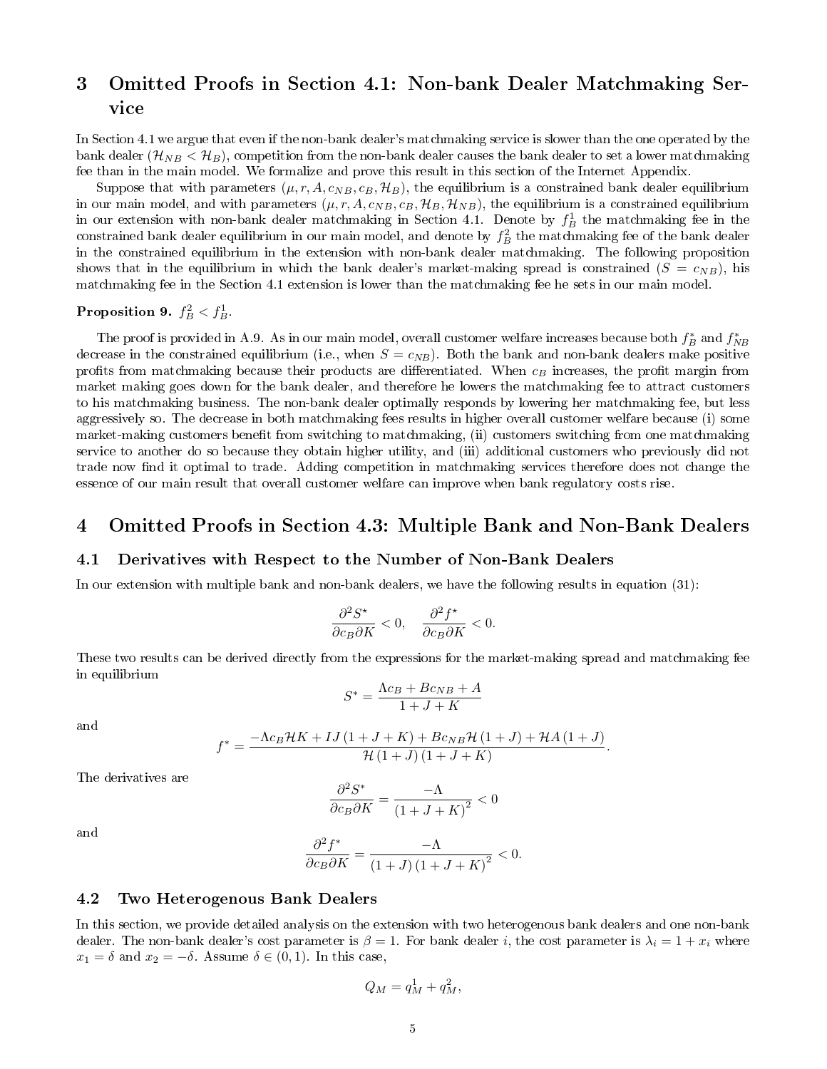# <span id="page-4-0"></span>3 Omitted Proofs in Section 4.1: Non-bank Dealer Matchmaking Service

In Section 4.1 we argue that even if the non-bank dealer's matchmaking service is slower than the one operated by the bank dealer  $(\mathcal{H}_{NB} < \mathcal{H}_{B})$ , competition from the non-bank dealer causes the bank dealer to set a lower matchmaking fee than in the main model. We formalize and prove this result in this section of the Internet Appendix.

Suppose that with parameters  $(\mu, r, A, c_{NB}, c_B, H_B)$ , the equilibrium is a constrained bank dealer equilibrium in our main model, and with parameters  $(\mu, r, A, c_{NB}, c_B, H_B, H_{NB})$ , the equilibrium is a constrained equilibrium in our extension with non-bank dealer matchmaking in Section 4.1. Denote by  $f_B^1$  the matchmaking fee in the constrained bank dealer equilibrium in our main model, and denote by  $f_B^2$  the matchmaking fee of the bank dealer in the constrained equilibrium in the extension with non-bank dealer matchmaking. The following proposition shows that in the equilibrium in which the bank dealer's market-making spread is constrained  $(S = c_{NB})$ , his matchmaking fee in the Section 4.1 extension is lower than the matchmaking fee he sets in our main model.

# <span id="page-4-4"></span>Proposition 9.  $f_B^2 < f_B^1$ .

The proof is provided in A.9. As in our main model, overall customer welfare increases because both  $f_B^*$  and  $f_{NB}^*$ decrease in the constrained equilibrium (i.e., when  $S = c_{NB}$ ). Both the bank and non-bank dealers make positive profits from matchmaking because their products are differentiated. When  $c_B$  increases, the profit margin from market making goes down for the bank dealer, and therefore he lowers the matchmaking fee to attract customers to his matchmaking business. The non-bank dealer optimally responds by lowering her matchmaking fee, but less aggressively so. The decrease in both matchmaking fees results in higher overall customer welfare because (i) some market-making customers benefit from switching to matchmaking, (ii) customers switching from one matchmaking service to another do so because they obtain higher utility, and (iii) additional customers who previously did not trade now find it optimal to trade. Adding competition in matchmaking services therefore does not change the essence of our main result that overall customer welfare can improve when bank regulatory costs rise.

# <span id="page-4-1"></span>4 Omitted Proofs in Section 4.3: Multiple Bank and Non-Bank Dealers

#### <span id="page-4-2"></span>4.1 Derivatives with Respect to the Number of Non-Bank Dealers

In our extension with multiple bank and non-bank dealers, we have the following results in equation (31):

$$
\frac{\partial^2 S^*}{\partial c_B \partial K} < 0, \quad \frac{\partial^2 f^*}{\partial c_B \partial K} < 0.
$$

These two results can be derived directly from the expressions for the market-making spread and matchmaking fee in equilibrium

$$
S^* = \frac{\Lambda c_B + B c_{NB} + A}{1 + J + K}
$$

and

$$
f^* = \frac{-\Lambda c_B \mathcal{H} K + I J (1 + J + K) + B c_{NB} \mathcal{H} (1 + J) + \mathcal{H} A (1 + J)}{\mathcal{H} (1 + J) (1 + J + K)}.
$$

The derivatives are

$$
\frac{\partial^2 S^*}{\partial c_B \partial K} = \frac{-\Lambda}{(1+J+K)^2} < 0
$$

and

$$
\frac{\partial^2 f^*}{\partial c_B \partial K} = \frac{-\Lambda}{\left(1+J\right)\left(1+J+K\right)^2} < 0.
$$

## <span id="page-4-3"></span>4.2 Two Heterogenous Bank Dealers

In this section, we provide detailed analysis on the extension with two heterogenous bank dealers and one non-bank dealer. The non-bank dealer's cost parameter is  $\beta = 1$ . For bank dealer i, the cost parameter is  $\lambda_i = 1 + x_i$  where  $x_1 = \delta$  and  $x_2 = -\delta$ . Assume  $\delta \in (0,1)$ . In this case,

$$
Q_M = q_M^1 + q_M^2,
$$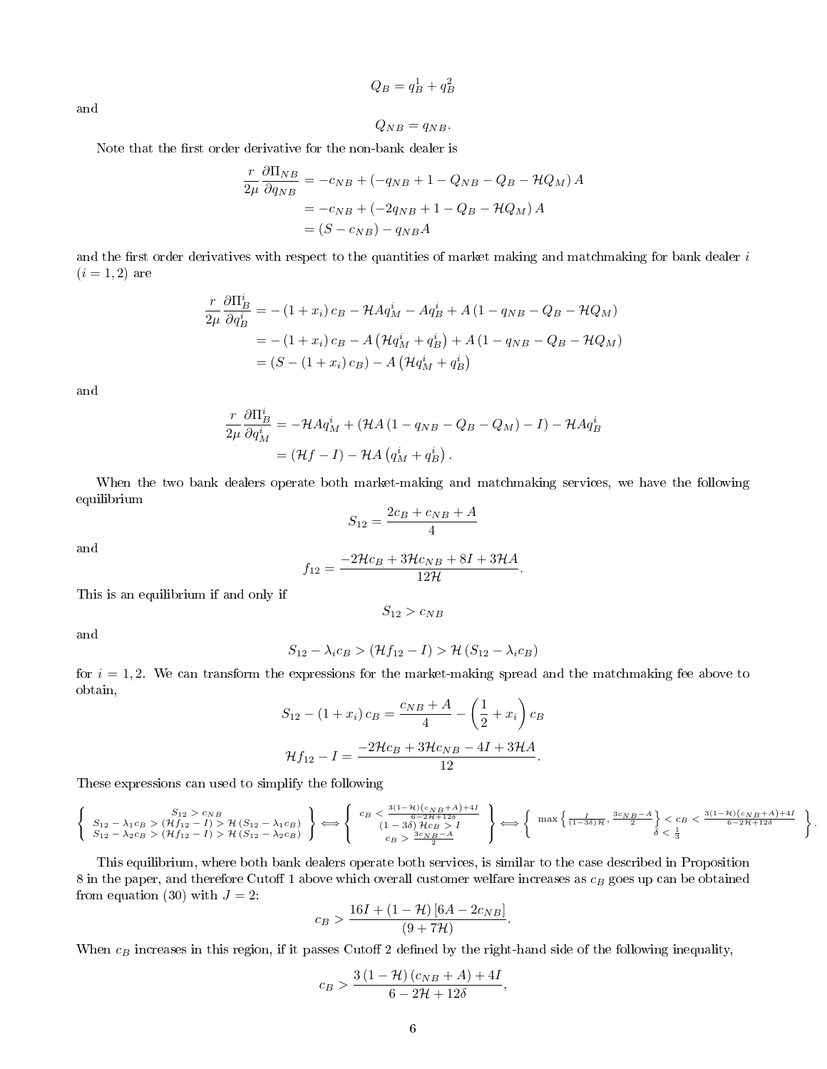$$
Q_B = q_B^1 + q_B^2
$$

and

$$
Q_{NB} = q_{NB}.
$$

Note that the first order derivative for the non-bank dealer is

$$
\frac{r}{2\mu} \frac{\partial \Pi_{NB}}{\partial q_{NB}} = -c_{NB} + (-q_{NB} + 1 - Q_{NB} - Q_B - \mathcal{H}Q_M) A
$$

$$
= -c_{NB} + (-2q_{NB} + 1 - Q_B - \mathcal{H}Q_M) A
$$

$$
= (S - c_{NB}) - q_{NB} A
$$

and the first order derivatives with respect to the quantities of market making and matchmaking for bank dealer  $i$  $(i = 1, 2)$  are

$$
\frac{r}{2\mu} \frac{\partial \Pi_B^i}{\partial q_B^i} = -(1+x_i)c_B - \mathcal{H}Aq_M^i - Aq_B^i + A(1-q_{NB} - Q_B - \mathcal{H}Q_M)
$$
  
= -(1+x\_i)c\_B - A(\mathcal{H}q\_M^i + q\_B^i) + A(1-q\_{NB} - Q\_B - \mathcal{H}Q\_M)  
= (S - (1+x\_i)c\_B) - A(\mathcal{H}q\_M^i + q\_B^i)

and

$$
\frac{r}{2\mu} \frac{\partial \Pi_B^i}{\partial q_M^i} = -\mathcal{H} A q_M^i + (\mathcal{H} A (1 - q_{NB} - Q_B - Q_M) - I) - \mathcal{H} A q_B^i
$$

$$
= (\mathcal{H} f - I) - \mathcal{H} A (q_M^i + q_B^i).
$$

When the two bank dealers operate both market-making and matchmaking services, we have the following equilibrium

$$
S_{12} = \frac{2c_B + c_{NB} + A}{4}
$$

and

$$
f_{12} = \frac{-2\mathcal{H}c_B + 3\mathcal{H}c_{NB} + 8I + 3\mathcal{H}A}{12\mathcal{H}}.
$$

This is an equilibrium if and only if

$$
S_{12} > c_{NB}
$$

and

$$
S_{12} - \lambda_i c_B > (\mathcal{H}f_{12} - I) > \mathcal{H} (S_{12} - \lambda_i c_B)
$$

for  $i = 1, 2$ . We can transform the expressions for the market-making spread and the matchmaking fee above to obtain,

$$
S_{12} - (1 + x_i) c_B = \frac{c_{NB} + A}{4} - \left(\frac{1}{2} + x_i\right) c_B
$$

$$
\mathcal{H}f_{12} - I = \frac{-2\mathcal{H}c_B + 3\mathcal{H}c_{NB} - 4I + 3\mathcal{H}A}{12}.
$$

These expressions can used to simplify the following

$$
\left\{\begin{array}{c}S_{12}-\lambda_1c_B>(\mathcal{H}f_{12}-I)> \mathcal{H}\left(S_{12}-\lambda_1c_B\right)\\S_{12}-\lambda_2c_B>(\mathcal{H}f_{12}-I)> \mathcal{H}\left(S_{12}-\lambda_2c_B\right)\\S_{12}-\lambda_2c_B>(\mathcal{H}f_{12}-I)> \mathcal{H}\left(S_{12}-\lambda_2c_B\right)\end{array}\right\} \Longleftrightarrow \left\{\begin{array}{c}c_B<\frac{3(1-\mathcal{H})(c_{NB}+A)+4I}{6-2\mathcal{H}+12\delta}\\(1-3\delta)\mathcal{H}c_B>A\\c_B>\frac{3c_NB-A}{2}\end{array}\right\} \Longleftrightarrow \left\{\begin{array}{c} \max\left\{\frac{I}{(1-3\delta)\mathcal{H}},\frac{3c_NB-A}{2}\right\}< c_B<\frac{3(1-\mathcal{H})(c_NB+A)+4I}{6-2\mathcal{H}+12\delta}\\ \delta<\frac{1}{3}\end{array}\right\}.
$$

This equilibrium, where both bank dealers operate both services, is similar to the case described in Proposition 8 in the paper, and therefore Cutoff 1 above which overall customer welfare increases as  $c_B$  goes up can be obtained from equation (30) with  $J = 2$ :

$$
c_B > \frac{16I + (1 - \mathcal{H}) [6A - 2c_{NB}]}{(9 + 7\mathcal{H})}.
$$

When  $c_B$  increases in this region, if it passes Cutoff 2 defined by the right-hand side of the following inequality,

$$
c_B > \frac{3(1 - \mathcal{H})(c_{NB} + A) + 4I}{6 - 2\mathcal{H} + 12\delta},
$$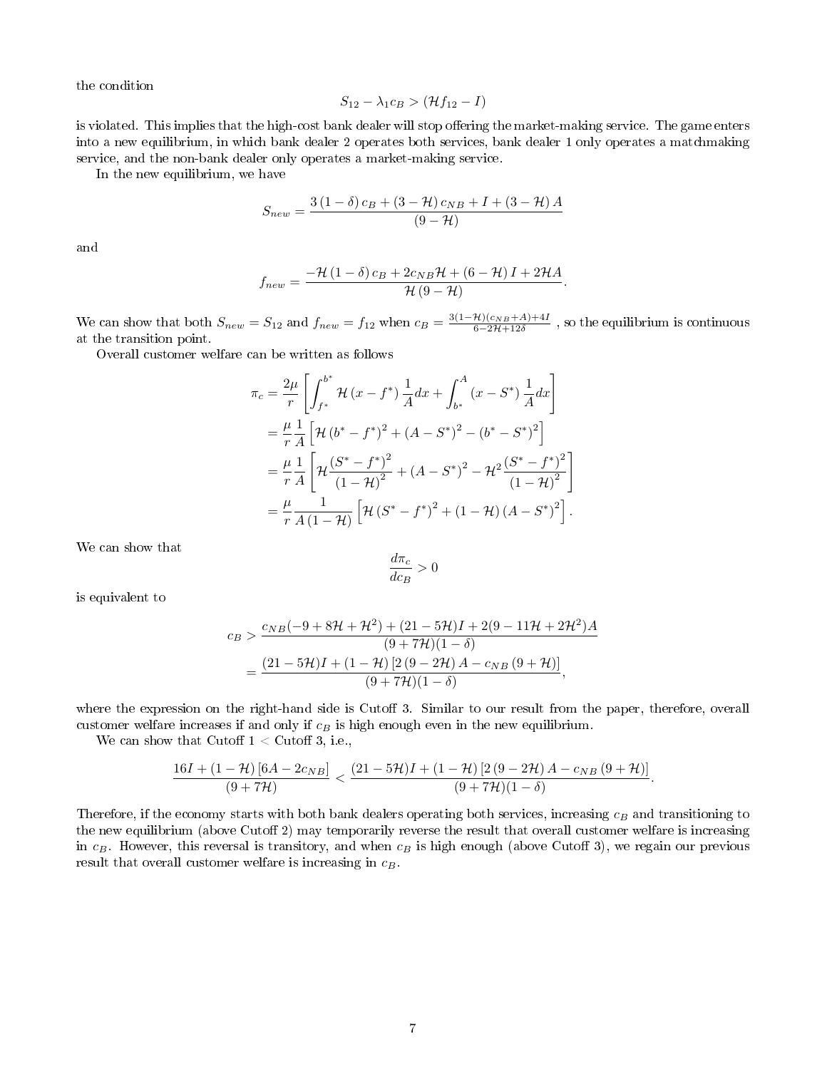the condition

$$
S_{12} - \lambda_1 c_B > (\mathcal{H}f_{12} - I)
$$

is violated. This implies that the high-cost bank dealer will stop offering the market-making service. The game enters into a new equilibrium, in which bank dealer 2 operates both services, bank dealer 1 only operates a matchmaking service, and the non-bank dealer only operates a market-making service.

In the new equilibrium, we have

$$
S_{new} = \frac{3(1 - \delta)c_B + (3 - \mathcal{H})c_{NB} + I + (3 - \mathcal{H})A}{(9 - \mathcal{H})}
$$

and

$$
f_{new} = \frac{-\mathcal{H}(1-\delta) c_B + 2c_{NB}\mathcal{H} + (6-\mathcal{H})I + 2\mathcal{H}A}{\mathcal{H}(9-\mathcal{H})}
$$

.

.

We can show that both  $S_{new} = S_{12}$  and  $f_{new} = f_{12}$  when  $c_B = \frac{3(1-\mathcal{H})(c_{NB}+\mathcal{A})+4I}{6-2\mathcal{H}+12\delta}$ , so the equilibrium is continuous at the transition point.

Overall customer welfare can be written as follows

$$
\pi_c = \frac{2\mu}{r} \left[ \int_{f^*}^{b^*} \mathcal{H}(x - f^*) \frac{1}{A} dx + \int_{b^*}^{A} (x - S^*) \frac{1}{A} dx \right]
$$
  
\n
$$
= \frac{\mu}{r} \frac{1}{A} \left[ \mathcal{H}(b^* - f^*)^2 + (A - S^*)^2 - (b^* - S^*)^2 \right]
$$
  
\n
$$
= \frac{\mu}{r} \frac{1}{A} \left[ \mathcal{H} \frac{(S^* - f^*)^2}{(1 - \mathcal{H})^2} + (A - S^*)^2 - \mathcal{H}^2 \frac{(S^* - f^*)^2}{(1 - \mathcal{H})^2} \right]
$$
  
\n
$$
= \frac{\mu}{r} \frac{1}{A(1 - \mathcal{H})} \left[ \mathcal{H}(S^* - f^*)^2 + (1 - \mathcal{H})(A - S^*)^2 \right].
$$

We can show that

$$
\frac{d\pi_c}{dc_B} > 0
$$

is equivalent to

$$
c_B > \frac{c_{NB}(-9+8\mathcal{H}+\mathcal{H}^2) + (21-5\mathcal{H})I + 2(9-11\mathcal{H}+2\mathcal{H}^2)A}{(9+7\mathcal{H})(1-\delta)}
$$
  
= 
$$
\frac{(21-5\mathcal{H})I + (1-\mathcal{H})[2(9-2\mathcal{H})A - c_{NB}(9+\mathcal{H})]}{(9+7\mathcal{H})(1-\delta)},
$$

where the expression on the right-hand side is Cutoff 3. Similar to our result from the paper, therefore, overall customer welfare increases if and only if  $c_B$  is high enough even in the new equilibrium.

We can show that Cutoff  $1 <$  Cutoff 3, i.e.,

$$
\frac{16I+\left(1-\mathcal{H}\right)\left[6A-2c_{NB}\right]}{\left(9+7\mathcal{H}\right)}<\frac{\left(21-5\mathcal{H}\right)I+\left(1-\mathcal{H}\right)\left[2\left(9-2\mathcal{H}\right)A-c_{NB}\left(9+\mathcal{H}\right)\right]}{\left(9+7\mathcal{H}\right)\left(1-\delta\right)}
$$

Therefore, if the economy starts with both bank dealers operating both services, increasing  $c_B$  and transitioning to the new equilibrium (above Cutoff 2) may temporarily reverse the result that overall customer welfare is increasing in  $c_B$ . However, this reversal is transitory, and when  $c_B$  is high enough (above Cutoff 3), we regain our previous result that overall customer welfare is increasing in  $c_B$ .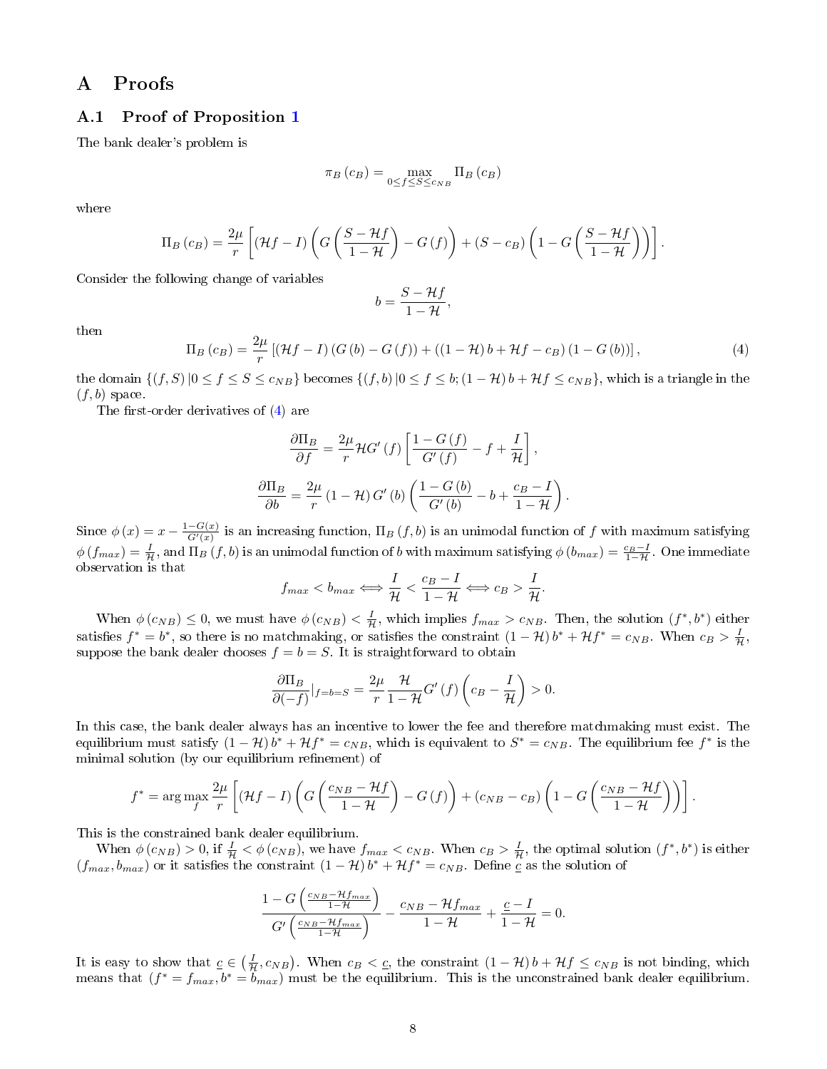# <span id="page-7-0"></span>A Proofs

# <span id="page-7-1"></span>A.1 Proof of Proposition [1](#page-1-2)

The bank dealer's problem is

$$
\pi_B(c_B) = \max_{0 \le f \le S \le c_{NB}} \Pi_B(c_B)
$$

where

$$
\Pi_B(c_B) = \frac{2\mu}{r} \left[ (\mathcal{H}f - I) \left( G \left( \frac{S - \mathcal{H}f}{1 - \mathcal{H}} \right) - G \left( f \right) \right) + (S - c_B) \left( 1 - G \left( \frac{S - \mathcal{H}f}{1 - \mathcal{H}} \right) \right) \right].
$$

Consider the following change of variables

$$
b = \frac{S - Hf}{1 - H},
$$

 $_{\rm then}$ 

<span id="page-7-2"></span>
$$
\Pi_B(c_B) = \frac{2\mu}{r} \left[ \left( \mathcal{H}f - I \right) \left( G\left( b \right) - G\left( f \right) \right) + \left( \left( 1 - \mathcal{H} \right) b + \mathcal{H}f - c_B \right) \left( 1 - G\left( b \right) \right) \right],\tag{4}
$$

the domain  $\{(f, S)|0 \le f \le S \le c_{NB}\}\)$  becomes  $\{(f, b)|0 \le f \le b$ ;  $(1 - \mathcal{H})b + \mathcal{H}f \le c_{NB}\}\$ , which is a triangle in the  $(f, b)$  space.

The first-order derivatives of  $(4)$  are

$$
\frac{\partial \Pi_B}{\partial f} = \frac{2\mu}{r} \mathcal{H}G'(f) \left[ \frac{1 - G(f)}{G'(f)} - f + \frac{I}{\mathcal{H}} \right],
$$

$$
\frac{\partial \Pi_B}{\partial b} = \frac{2\mu}{r} (1 - \mathcal{H}) G'(b) \left( \frac{1 - G(b)}{G'(b)} - b + \frac{c_B - I}{1 - \mathcal{H}} \right).
$$

Since  $\phi(x) = x - \frac{1 - G(x)}{G'(x)}$  is an increasing function,  $\Pi_B(f, b)$  is an unimodal function of f with maximum satisfying  $\phi\left(f_{max}\right)=\frac{I}{H}$ , and  $\Pi_{B}\left(f,b\right)$  is an unimodal function of b with maximum satisfying  $\phi\left(b_{max}\right)=\frac{c_{B}-I}{1-\mathcal{H}}$ . One immediate observation is that

$$
f_{max} < b_{max} \Longleftrightarrow \frac{I}{\mathcal{H}} < \frac{c_B - I}{1 - \mathcal{H}} \Longleftrightarrow c_B > \frac{I}{\mathcal{H}}.
$$

When  $\phi(c_{NB}) \leq 0$ , we must have  $\phi(c_{NB}) < \frac{I}{H}$ , which implies  $f_{max} > c_{NB}$ . Then, the solution  $(f^*, b^*)$  either satisfies  $f^* = b^*$ , so there is no matchmaking, or satisfies the constraint  $(1 - \mathcal{H})b^* + \mathcal{H}f^* = c_{NB}$ . When  $c_B > \frac{I}{\mathcal{H}}$ , suppose the bank dealer chooses  $f = b = S$ . It is straightforward to obtain

$$
\frac{\partial \Pi_B}{\partial (-f)}|_{f=b=S} = \frac{2\mu}{r} \frac{\mathcal{H}}{1-\mathcal{H}} G'(f) \left(c_B - \frac{I}{\mathcal{H}}\right) > 0.
$$

In this case, the bank dealer always has an incentive to lower the fee and therefore matchmaking must exist. The equilibrium must satisfy  $(1 - \mathcal{H})b^* + \mathcal{H}f^* = c_{NB}$ , which is equivalent to  $S^* = c_{NB}$ . The equilibrium fee  $f^*$  is the minimal solution (by our equilibrium refinement) of

$$
f^* = \arg \max_{f} \frac{2\mu}{r} \left[ (\mathcal{H}f - I) \left( G \left( \frac{c_{NB} - \mathcal{H}f}{1 - \mathcal{H}} \right) - G \left( f \right) \right) + (c_{NB} - c_B) \left( 1 - G \left( \frac{c_{NB} - \mathcal{H}f}{1 - \mathcal{H}} \right) \right) \right].
$$

This is the constrained bank dealer equilibrium.

When  $\phi(c_{NB}) > 0$ , if  $\frac{I}{H} < \phi(c_{NB})$ , we have  $f_{max} < c_{NB}$ . When  $c_B > \frac{I}{H}$ , the optimal solution  $(f^*, b^*)$  is either  $(f_{max}, b_{max})$  or it satisfies the constraint  $(1 - \mathcal{H})b^* + \mathcal{H}f^* = c_{NB}$ . Define  $c$  as the solution of

$$
\frac{1-G\left(\frac{c_{NB}-\mathcal{H}f_{max}}{1-\mathcal{H}}\right)}{G'\left(\frac{c_{NB}-\mathcal{H}f_{max}}{1-\mathcal{H}}\right)} - \frac{c_{NB}-\mathcal{H}f_{max}}{1-\mathcal{H}} + \frac{c-I}{1-\mathcal{H}} = 0.
$$

It is easy to show that  $c \in (\frac{I}{H}, c_{NB})$ . When  $c_B < c$ , the constraint  $(1 - H)b + Hf \le c_{NB}$  is not binding, which means that  $(f^* = f_{max}, b^* = b_{max})$  must be the equilibrium. This is the unconstrained bank dealer equilibrium.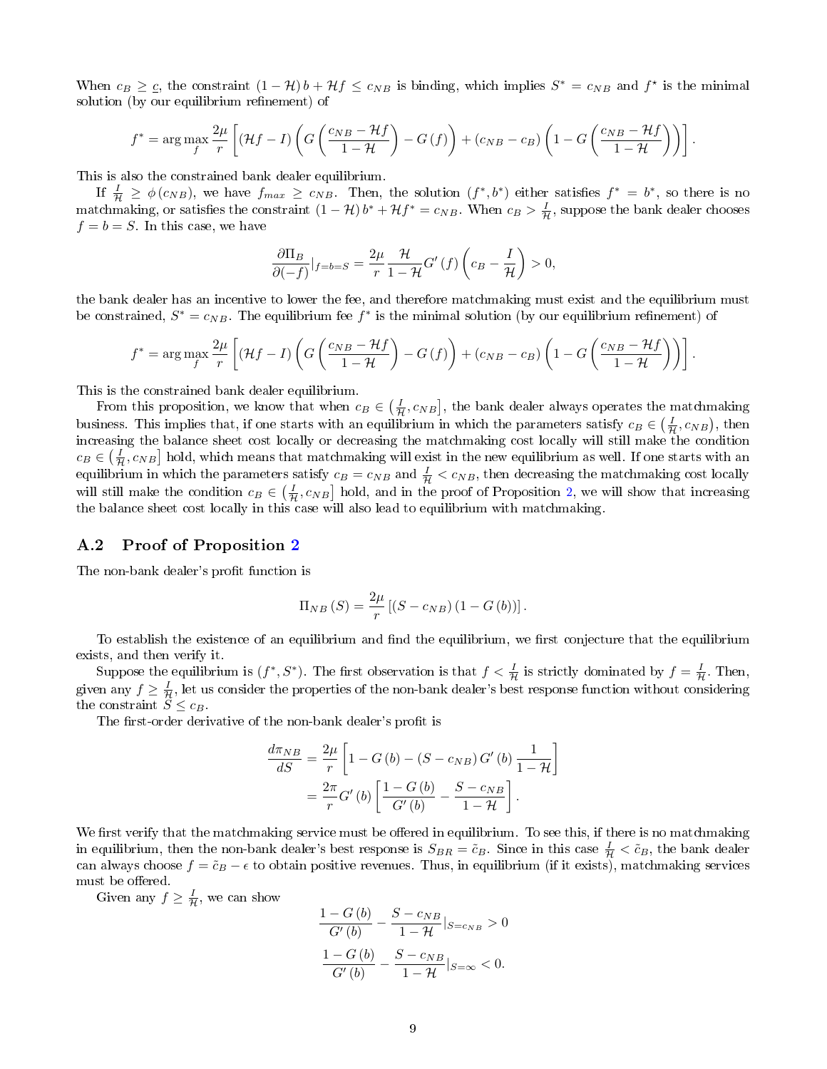When  $c_B \geq c$ , the constraint  $(1 - H) b + Hf \leq c_{NB}$  is binding, which implies  $S^* = c_{NB}$  and  $f^*$  is the minimal solution (by our equilibrium refinement) of

$$
f^* = \arg \max_{f} \frac{2\mu}{r} \left[ (\mathcal{H}f - I) \left( G \left( \frac{c_{NB} - \mathcal{H}f}{1 - \mathcal{H}} \right) - G \left( f \right) \right) + (c_{NB} - c_B) \left( 1 - G \left( \frac{c_{NB} - \mathcal{H}f}{1 - \mathcal{H}} \right) \right) \right].
$$

This is also the constrained bank dealer equilibrium.

If  $\frac{I}{\mathcal{H}} \geq \phi(c_{NB})$ , we have  $f_{max} \geq c_{NB}$ . Then, the solution  $(f^*, b^*)$  either satisfies  $f^* = b^*$ , so there is no matchmaking, or satisfies the constraint  $(1 - \mathcal{H})b^* + \mathcal{H}f^* = c_{NB}$ . When  $c_B > \frac{I}{\mathcal{H}}$ , suppose the bank dealer chooses  $f = b = S$ . In this case, we have

$$
\frac{\partial \Pi_B}{\partial (-f)}|_{f=b=S} = \frac{2\mu}{r} \frac{\mathcal{H}}{1-\mathcal{H}} G'(f) \left(c_B - \frac{I}{\mathcal{H}}\right) > 0,
$$

the bank dealer has an incentive to lower the fee, and therefore matchmaking must exist and the equilibrium must be constrained,  $S^* = c_{NB}$ . The equilibrium fee  $f^*$  is the minimal solution (by our equilibrium refinement) of

$$
f^* = \arg \max_{f} \frac{2\mu}{r} \left[ (\mathcal{H}f - I) \left( G \left( \frac{c_{NB} - \mathcal{H}f}{1 - \mathcal{H}} \right) - G \left( f \right) \right) + (c_{NB} - c_B) \left( 1 - G \left( \frac{c_{NB} - \mathcal{H}f}{1 - \mathcal{H}} \right) \right) \right].
$$

This is the constrained bank dealer equilibrium.

From this proposition, we know that when  $c_B \in (\frac{I}{H}, c_{NB}]$ , the bank dealer always operates the matchmaking business. This implies that, if one starts with an equilibrium in which the parameters satisfy  $c_B \in (\frac{I}{H}, c_{NB})$ , then increasing the balance sheet cost locally or decreasing the matchmaking cost locally will still make the condition  $c_B \in (\frac{I}{H}, c_{NB}]$  hold, which means that matchmaking will exist in the new equilibrium as well. If one starts with an equilibrium in which the parameters satisfy  $c_B = c_{NB}$  and  $\frac{I}{H} < c_{NB}$ , then decreasing the matchmaking cost locally will still make the condition  $c_B \in (\frac{I}{H}, c_{NB}]$  hold, and in the proof of Proposition [2,](#page-2-2) we will show that increasing the balance sheet cost locally in this case will also lead to equilibrium with matchmaking.

#### <span id="page-8-0"></span>A.2 Proof of Proposition [2](#page-2-2)

The non-bank dealer's profit function is

$$
\Pi_{NB}(S) = \frac{2\mu}{r} [(S - c_{NB}) (1 - G(b))].
$$

To establish the existence of an equilibrium and find the equilibrium, we first conjecture that the equilibrium exists, and then verify it.

Suppose the equilibrium is  $(f^*, S^*)$ . The first observation is that  $f < \frac{I}{\mathcal{H}}$  is strictly dominated by  $f = \frac{I}{\mathcal{H}}$ . Then, given any  $f\geq \frac{I}{\mathcal{H}}$ , let us consider the properties of the non-bank dealer's best response function without considering the constraint  $S \leq c_B$ .

The first-order derivative of the non-bank dealer's profit is

$$
\frac{d\pi_{NB}}{dS} = \frac{2\mu}{r} \left[ 1 - G\left(b\right) - \left(S - c_{NB}\right)G'\left(b\right) \frac{1}{1 - \mathcal{H}} \right]
$$

$$
= \frac{2\pi}{r} G'\left(b\right) \left[ \frac{1 - G\left(b\right)}{G'\left(b\right)} - \frac{S - c_{NB}}{1 - \mathcal{H}} \right].
$$

We first verify that the matchmaking service must be offered in equilibrium. To see this, if there is no matchmaking in equilibrium, then the non-bank dealer's best response is  $S_{BR} = \tilde{c}_B$ . Since in this case  $\frac{I}{\mathcal{H}} < \tilde{c}_B$ , the bank dealer can always choose  $f = \tilde{c}_B - \epsilon$  to obtain positive revenues. Thus, in equilibrium (if it exists), matchmaking services must be offered.

Given any  $f \geq \frac{I}{\mathcal{H}}$ , we can show

$$
\frac{1 - G(b)}{G'(b)} - \frac{S - c_{NB}}{1 - \mathcal{H}} |_{S = c_{NB}} > 0
$$

$$
\frac{1 - G(b)}{G'(b)} - \frac{S - c_{NB}}{1 - \mathcal{H}} |_{S = \infty} < 0.
$$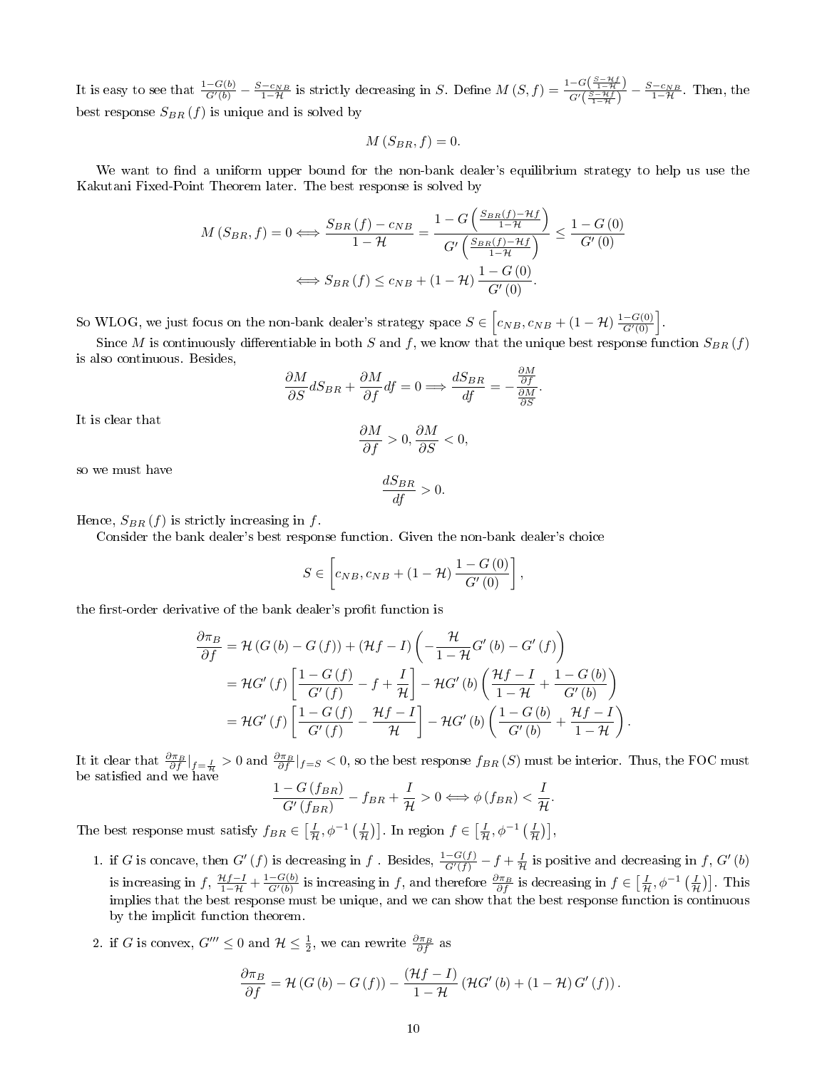It is easy to see that  $\frac{1-G(b)}{G'(b)} - \frac{S-c_{NB}}{1-\mathcal{H}}$  is strictly decreasing in S. Define  $M(S, f) = \frac{1-G(\frac{S-Hf}{1-\mathcal{H}})}{G'(\frac{S-Hf}{1-\mathcal{H}})}$  $\frac{-G\left(\frac{x}{1-\mathcal{H}}\right)}{G'\left(\frac{S-\mathcal{H}f}{1-\mathcal{H}}\right)} - \frac{S-c_{NB}}{1-\mathcal{H}}$ . Then, the best response  $S_{BR}(f)$  is unique and is solved by

$$
M\left(S_{BR}, f\right) = 0.
$$

We want to find a uniform upper bound for the non-bank dealer's equilibrium strategy to help us use the Kakutani Fixed-Point Theorem later. The best response is solved by

$$
M(S_{BR}, f) = 0 \Longleftrightarrow \frac{S_{BR}(f) - c_{NB}}{1 - \mathcal{H}} = \frac{1 - G\left(\frac{S_{BR}(f) - \mathcal{H}f}{1 - \mathcal{H}}\right)}{G'\left(\frac{S_{BR}(f) - \mathcal{H}f}{1 - \mathcal{H}}\right)} \le \frac{1 - G(0)}{G'(0)}
$$

$$
\Longleftrightarrow S_{BR}(f) \le c_{NB} + (1 - \mathcal{H})\frac{1 - G(0)}{G'(0)}.
$$

So WLOG, we just focus on the non-bank dealer's strategy space  $S \in \left[c_{NB}, c_{NB} + (1 - \mathcal{H}) \frac{1 - G(0)}{G'(0)}\right]$ .

Since M is continuously differentiable in both S and f, we know that the unique best response function  $S_{BR}(f)$ is also continuous. Besides,

$$
\frac{\partial M}{\partial S} dS_{BR} + \frac{\partial M}{\partial f} df = 0 \Longrightarrow \frac{dS_{BR}}{df} = -\frac{\frac{\partial M}{\partial f}}{\frac{\partial M}{\partial S}}
$$

.

.

It is clear that

$$
\frac{\partial M}{\partial f} > 0, \frac{\partial M}{\partial S} < 0,
$$

so we must have

$$
\frac{dS_{BR}}{df} > 0.
$$

Hence,  $S_{BR}(f)$  is strictly increasing in f.

Consider the bank dealer's best response function. Given the non-bank dealer's choice

$$
S \in \left[c_{NB}, c_{NB} + (1 - \mathcal{H}) \frac{1 - G(0)}{G'(0)}\right],
$$

the first-order derivative of the bank dealer's profit function is

$$
\frac{\partial \pi_B}{\partial f} = \mathcal{H}(G(b) - G(f)) + (\mathcal{H}f - I) \left( -\frac{\mathcal{H}}{1 - \mathcal{H}} G'(b) - G'(f) \right)
$$
  
=  $\mathcal{H}G'(f) \left[ \frac{1 - G(f)}{G'(f)} - f + \frac{I}{\mathcal{H}} \right] - \mathcal{H}G'(b) \left( \frac{\mathcal{H}f - I}{1 - \mathcal{H}} + \frac{1 - G(b)}{G'(b)} \right)$   
=  $\mathcal{H}G'(f) \left[ \frac{1 - G(f)}{G'(f)} - \frac{\mathcal{H}f - I}{\mathcal{H}} \right] - \mathcal{H}G'(b) \left( \frac{1 - G(b)}{G'(b)} + \frac{\mathcal{H}f - I}{1 - \mathcal{H}} \right)$ 

It it clear that  $\frac{\partial \pi_B}{\partial f}|_{f=\frac{I}{\mathcal{H}}} > 0$  and  $\frac{\partial \pi_B}{\partial f}|_{f=S} < 0$ , so the best response  $f_{BR}(S)$  must be interior. Thus, the FOC must be satisfied and we have

$$
\frac{1-G(f_{BR})}{G'(f_{BR})}-f_{BR}+\frac{I}{\mathcal{H}}>0 \Longleftrightarrow \phi(f_{BR})<\frac{I}{\mathcal{H}}.
$$

The best response must satisfy  $f_{BR} \in \left[\frac{I}{H}, \phi^{-1}\left(\frac{I}{H}\right)\right]$ . In region  $f \in \left[\frac{I}{H}, \phi^{-1}\left(\frac{I}{H}\right)\right]$ ,

1. if G is concave, then G' (f) is decreasing in f. Besides,  $\frac{1-G(f)}{G'(f)} - f + \frac{I}{H}$  is positive and decreasing in f, G' (b) is increasing in  $f$ ,  $\frac{\mathcal{H}f-I}{1-\mathcal{H}} + \frac{1-G(b)}{G'(b)}$  is increasing in f, and therefore  $\frac{\partial \pi_B}{\partial f}$  is decreasing in  $f \in \left[\frac{I}{\mathcal{H}}, \phi^{-1}\left(\frac{I}{\mathcal{H}}\right)\right]$ . This implies that the best response must be unique, and we can show that the best response function is continuous by the implicit function theorem.

2. if G is convex,  $G''' \leq 0$  and  $\mathcal{H} \leq \frac{1}{2}$ , we can rewrite  $\frac{\partial \pi_B}{\partial f}$  as

$$
\frac{\partial \pi_B}{\partial f} = \mathcal{H}(G(b) - G(f)) - \frac{(\mathcal{H}f - I)}{1 - \mathcal{H}} (\mathcal{H}G'(b) + (1 - \mathcal{H})G'(f)).
$$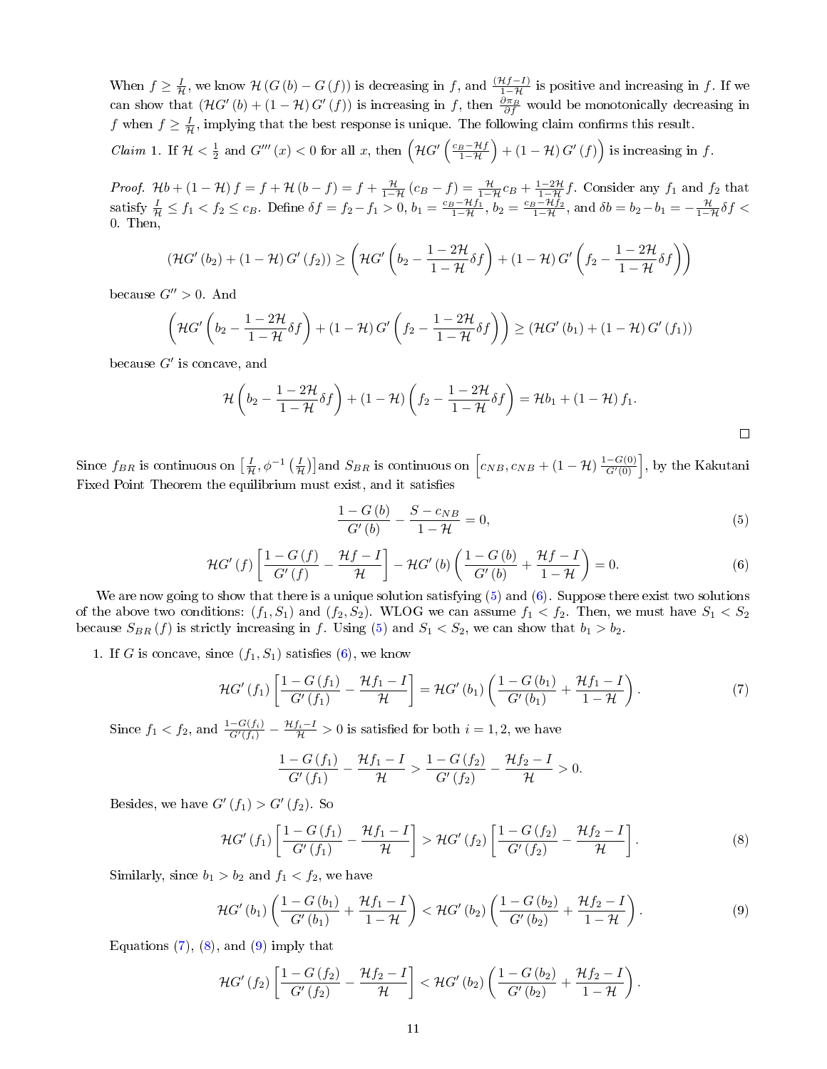When  $f \geq \frac{I}{H}$ , we know  $H(G(b) - G(f))$  is decreasing in f, and  $\frac{(\mathcal{H}f-I)}{1-\mathcal{H}}$  is positive and increasing in f. If we can show that  $(HG'(b) + (1 - H) G'(f))$  is increasing in f, then  $\frac{\partial \pi_B}{\partial f}$  would be monotonically decreasing in f when  $f \geq \frac{I}{H}$ , implying that the best response is unique. The following claim confirms this result.

<span id="page-10-5"></span>*Claim* 1. If  $\mathcal{H} < \frac{1}{2}$  and  $G'''(x) < 0$  for all x, then  $\left(\mathcal{H}G'\left(\frac{c_B-\mathcal{H}f}{1-\mathcal{H}}\right) + (1-\mathcal{H})G'(f)\right)$  is increasing in f.

Proof.  $\mathcal{H}b + (1 - \mathcal{H})f = f + \mathcal{H}(b - f) = f + \frac{\mathcal{H}}{1 - \mathcal{H}}(c_B - f) = \frac{\mathcal{H}}{1 - \mathcal{H}}c_B + \frac{1 - 2\mathcal{H}}{1 - \mathcal{H}}f$ . Consider any  $f_1$  and  $f_2$  that satisfy  $\frac{I}{\mathcal{H}} \le f_1 < f_2 \le c_B$ . Define  $\delta f = f_2 - f_1 > 0$ ,  $b_1 = \frac{c_B - \mathcal{H}f_1}{1 - \mathcal{H}}$ ,  $b_2 = \frac{c_B - \mathcal{H}f_2}{1 - \mathcal{H}}$ , and  $\delta b = b_2 - b_1 = -\frac{\mathcal{H}}{1 - \mathcal{H}}\delta f$ 0. Then.

$$
\left(\mathcal{H}G'(b_2) + (1-\mathcal{H})G'(f_2)\right) \ge \left(\mathcal{H}G'\left(b_2 - \frac{1-2\mathcal{H}}{1-\mathcal{H}}\delta f\right) + (1-\mathcal{H})G'\left(f_2 - \frac{1-2\mathcal{H}}{1-\mathcal{H}}\delta f\right)\right)
$$

because  $G'' > 0$ . And

$$
\left(\mathcal{H}G'\left(b_{2}-\frac{1-2\mathcal{H}}{1-\mathcal{H}}\delta f\right)+(1-\mathcal{H})G'\left(f_{2}-\frac{1-2\mathcal{H}}{1-\mathcal{H}}\delta f\right)\right)\geq \left(\mathcal{H}G'\left(b_{1}\right)+(1-\mathcal{H})G'\left(f_{1}\right)\right)
$$

because  $G'$  is concave, and

$$
\mathcal{H}\left(b_2 - \frac{1-2\mathcal{H}}{1-\mathcal{H}}\delta f\right) + (1-\mathcal{H})\left(f_2 - \frac{1-2\mathcal{H}}{1-\mathcal{H}}\delta f\right) = \mathcal{H}b_1 + (1-\mathcal{H})f_1.
$$

Since  $f_{BR}$  is continuous on  $\left[\frac{I}{H},\phi^{-1}\left(\frac{I}{H}\right)\right]$  and  $S_{BR}$  is continuous on  $\left[c_{NB},c_{NB}+(1-\mathcal{H})\frac{1-G(0)}{G'(0)}\right]$ , by the Kakutani Fixed Point Theorem the equilibrium must exist, and it satisfies

<span id="page-10-0"></span>
$$
\frac{1 - G(b)}{G'(b)} - \frac{S - c_{NB}}{1 - \mathcal{H}} = 0,
$$
\n(5)

<span id="page-10-1"></span>
$$
\mathcal{H}G'(f)\left[\frac{1-G\left(f\right)}{G'\left(f\right)}-\frac{\mathcal{H}f-I}{\mathcal{H}}\right]-\mathcal{H}G'\left(b\right)\left(\frac{1-G\left(b\right)}{G'\left(b\right)}+\frac{\mathcal{H}f-I}{1-\mathcal{H}}\right)=0.\tag{6}
$$

We are now going to show that there is a unique solution satisfying  $(5)$  and  $(6)$ . Suppose there exist two solutions of the above two conditions:  $(f_1, S_1)$  and  $(f_2, S_2)$ . WLOG we can assume  $f_1 < f_2$ . Then, we must have  $S_1 < S_2$ because  $S_{BR}(f)$  is strictly increasing in f. Using [\(5\)](#page-10-0) and  $S_1 < S_2$ , we can show that  $b_1 > b_2$ .

1. If G is concave, since  $(f_1, S_1)$  satisfies  $(6)$ , we know

<span id="page-10-2"></span>
$$
\mathcal{H}G'(f_1)\left[\frac{1-G(f_1)}{G'(f_1)} - \frac{\mathcal{H}f_1 - I}{\mathcal{H}}\right] = \mathcal{H}G'(b_1)\left(\frac{1-G(b_1)}{G'(b_1)} + \frac{\mathcal{H}f_1 - I}{1 - \mathcal{H}}\right). \tag{7}
$$

Since  $f_1 < f_2$ , and  $\frac{1-G(f_i)}{G'(f_i)} - \frac{\mathcal{H}f_i - I}{\mathcal{H}} > 0$  is satisfied for both  $i = 1, 2$ , we have

$$
\frac{1-G(f_1)}{G'(f_1)} - \frac{\mathcal{H}f_1 - I}{\mathcal{H}} > \frac{1-G(f_2)}{G'(f_2)} - \frac{\mathcal{H}f_2 - I}{\mathcal{H}} > 0.
$$

Besides, we have  $G'(f_1) > G'(f_2)$ . So

<span id="page-10-3"></span>
$$
\mathcal{H}G'(f_1)\left[\frac{1-G(f_1)}{G'(f_1)} - \frac{\mathcal{H}f_1 - I}{\mathcal{H}}\right] > \mathcal{H}G'(f_2)\left[\frac{1-G(f_2)}{G'(f_2)} - \frac{\mathcal{H}f_2 - I}{\mathcal{H}}\right].
$$
\n(8)

Similarly, since  $b_1 > b_2$  and  $f_1 < f_2$ , we have

<span id="page-10-4"></span>
$$
\mathcal{H}G'(b_1)\left(\frac{1-G(b_1)}{G'(b_1)}+\frac{\mathcal{H}f_1-I}{1-\mathcal{H}}\right)<\mathcal{H}G'(b_2)\left(\frac{1-G(b_2)}{G'(b_2)}+\frac{\mathcal{H}f_2-I}{1-\mathcal{H}}\right).
$$
\n(9)

Equations  $(7)$ ,  $(8)$ , and  $(9)$  imply that

$$
\mathcal{H}G'\left(f_2\right)\left[\frac{1-G\left(f_2\right)}{G'\left(f_2\right)}-\frac{\mathcal{H}f_2-I}{\mathcal{H}}\right]<\mathcal{H}G'\left(b_2\right)\left(\frac{1-G\left(b_2\right)}{G'\left(b_2\right)}+\frac{\mathcal{H}f_2-I}{1-\mathcal{H}}\right).
$$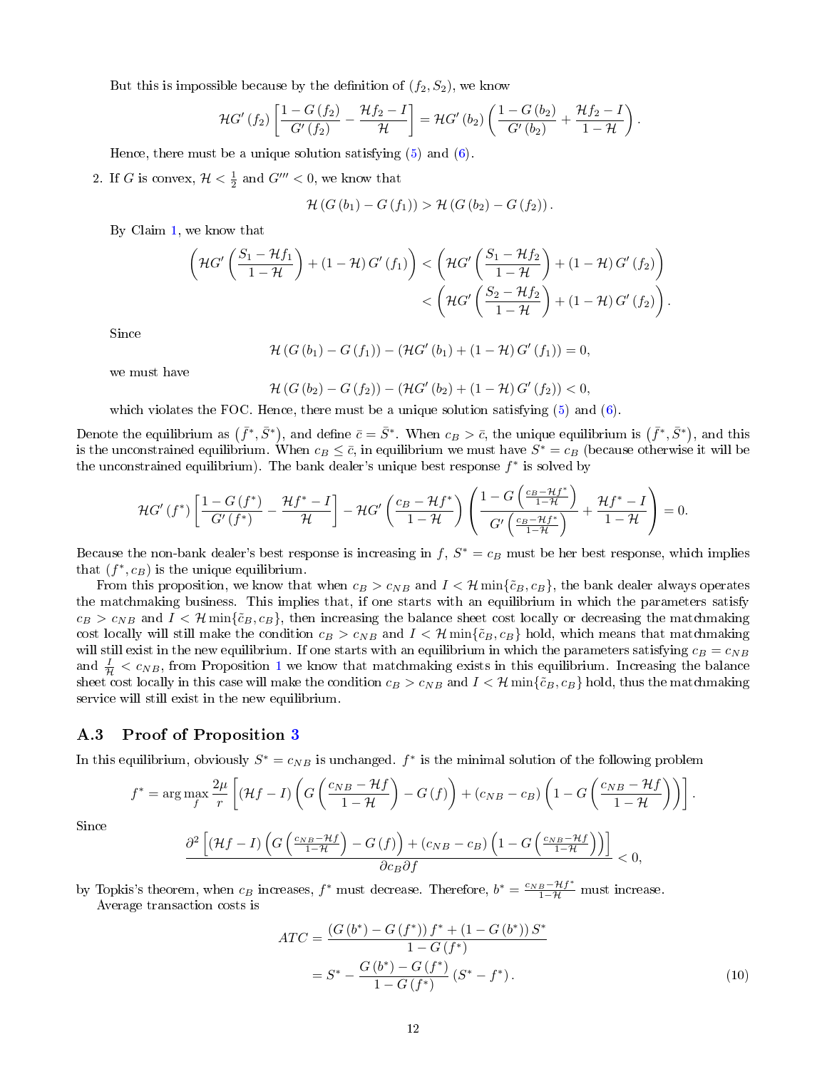But this is impossible because by the definition of  $(f_2, S_2)$ , we know

$$
\mathcal{H}G'(f_2)\left[\frac{1-G\left(f_2\right)}{G'\left(f_2\right)}-\frac{\mathcal{H}f_2-I}{\mathcal{H}}\right]=\mathcal{H}G'\left(b_2\right)\left(\frac{1-G\left(b_2\right)}{G'\left(b_2\right)}+\frac{\mathcal{H}f_2-I}{1-\mathcal{H}}\right).
$$

Hence, there must be a unique solution satisfying  $(5)$  and  $(6)$ .

2. If G is convex,  $H < \frac{1}{2}$  and  $G''' < 0$ , we know that

$$
\mathcal{H}(G(b_1) - G(f_1)) > \mathcal{H}(G(b_2) - G(f_2)).
$$

By Claim [1,](#page-10-5) we know that

$$
\left(\mathcal{H}G'\left(\frac{S_1-\mathcal{H}f_1}{1-\mathcal{H}}\right)+(1-\mathcal{H})G'(f_1)\right)<\left(\mathcal{H}G'\left(\frac{S_1-\mathcal{H}f_2}{1-\mathcal{H}}\right)+(1-\mathcal{H})G'(f_2)\right)\\<\left(\mathcal{H}G'\left(\frac{S_2-\mathcal{H}f_2}{1-\mathcal{H}}\right)+(1-\mathcal{H})G'(f_2)\right).
$$

Since

$$
\mathcal{H}(G(b_1) - G(f_1)) - (\mathcal{H}G'(b_1) + (1 - \mathcal{H})G'(f_1)) = 0,
$$

we must have

$$
\mathcal{H}(G(b_2) - G(f_2)) - (\mathcal{H}G'(b_2) + (1 - \mathcal{H})G'(f_2)) < 0,
$$

which violates the FOC. Hence, there must be a unique solution satisfying  $(5)$  and  $(6)$ .

Denote the equilibrium as  $(\bar f^*,\bar S^*)$ , and define  $\bar c=\bar S^*$ . When  $c_B>\bar c,$  the unique equilibrium is  $(\bar f^*,\bar S^*)$ , and this is the unconstrained equilibrium. When  $c_B\leq \bar{c},$  in equilibrium we must have  $S^*=c_B$  (because otherwise it will be the unconstrained equilibrium). The bank dealer's unique best response  $f^*$  is solved by

$$
\mathcal{H}G'\left(f^*\right)\left[\frac{1-G\left(f^*\right)}{G'\left(f^*\right)}-\frac{\mathcal{H}f^*-I}{\mathcal{H}}\right]-\mathcal{H}G'\left(\frac{c_B-\mathcal{H}f^*}{1-\mathcal{H}}\right)\left(\frac{1-G\left(\frac{c_B-\mathcal{H}f^*}{1-\mathcal{H}}\right)}{G'\left(\frac{c_B-\mathcal{H}f^*}{1-\mathcal{H}}\right)}+\frac{\mathcal{H}f^*-I}{1-\mathcal{H}}\right)=0.
$$

Because the non-bank dealer's best response is increasing in  $f, S^* = c_B$  must be her best response, which implies that  $(f^*, c_B)$  is the unique equilibrium.

From this proposition, we know that when  $c_B > c_{NB}$  and  $I < H$  min{ $\tilde{c}_B, c_B$ }, the bank dealer always operates the matchmaking business. This implies that, if one starts with an equilibrium in which the parameters satisfy  $c_B > c_{NB}$  and  $I < H$  min $\{\tilde{c}_B, c_B\}$ , then increasing the balance sheet cost locally or decreasing the matchmaking cost locally will still make the condition  $c_B > c_{NB}$  and  $I < H$  min $\{\tilde{c}_B, c_B\}$  hold, which means that matchmaking will still exist in the new equilibrium. If one starts with an equilibrium in which the parameters satisfying  $c_B = c_{NB}$ and  $\frac{I}{H} < c_{NB}$ , from Proposition [1](#page-1-2) we know that matchmaking exists in this equilibrium. Increasing the balance sheet cost locally in this case will make the condition  $c_B > c_{NB}$  and  $I < H$  min $\{\tilde{c}_B, c_B\}$  hold, thus the matchmaking service will still exist in the new equilibrium.

# <span id="page-11-0"></span>A.3 Proof of Proposition [3](#page-2-3)

In this equilibrium, obviously  $S^* = c_{NB}$  is unchanged.  $f^*$  is the minimal solution of the following problem

$$
f^* = \arg \max_{f} \frac{2\mu}{r} \left[ (\mathcal{H}f - I) \left( G \left( \frac{c_{NB} - \mathcal{H}f}{1 - \mathcal{H}} \right) - G \left( f \right) \right) + (c_{NB} - c_B) \left( 1 - G \left( \frac{c_{NB} - \mathcal{H}f}{1 - \mathcal{H}} \right) \right) \right].
$$

Since

$$
\frac{\partial^2 \left[ (\mathcal{H}f - I) \left( G \left( \frac{c_{NB} - \mathcal{H}f}{1 - \mathcal{H}} \right) - G \left( f \right) \right) + (c_{NB} - c_B) \left( 1 - G \left( \frac{c_{NB} - \mathcal{H}f}{1 - \mathcal{H}} \right) \right) \right]}{\partial c_B \partial f} < 0,
$$

by Topkis's theorem, when  $c_B$  increases,  $f^*$  must decrease. Therefore,  $b^* = \frac{c_{NB} - Hf^*}{1 - H}$  must increase. Average transaction costs is

$$
ATC = \frac{\left(G\left(b^{*}\right) - G\left(f^{*}\right)\right)f^{*} + \left(1 - G\left(b^{*}\right)\right)S^{*}}{1 - G\left(f^{*}\right)}
$$
\n
$$
= S^{*} - \frac{G\left(b^{*}\right) - G\left(f^{*}\right)}{1 - G\left(f^{*}\right)}\left(S^{*} - f^{*}\right). \tag{10}
$$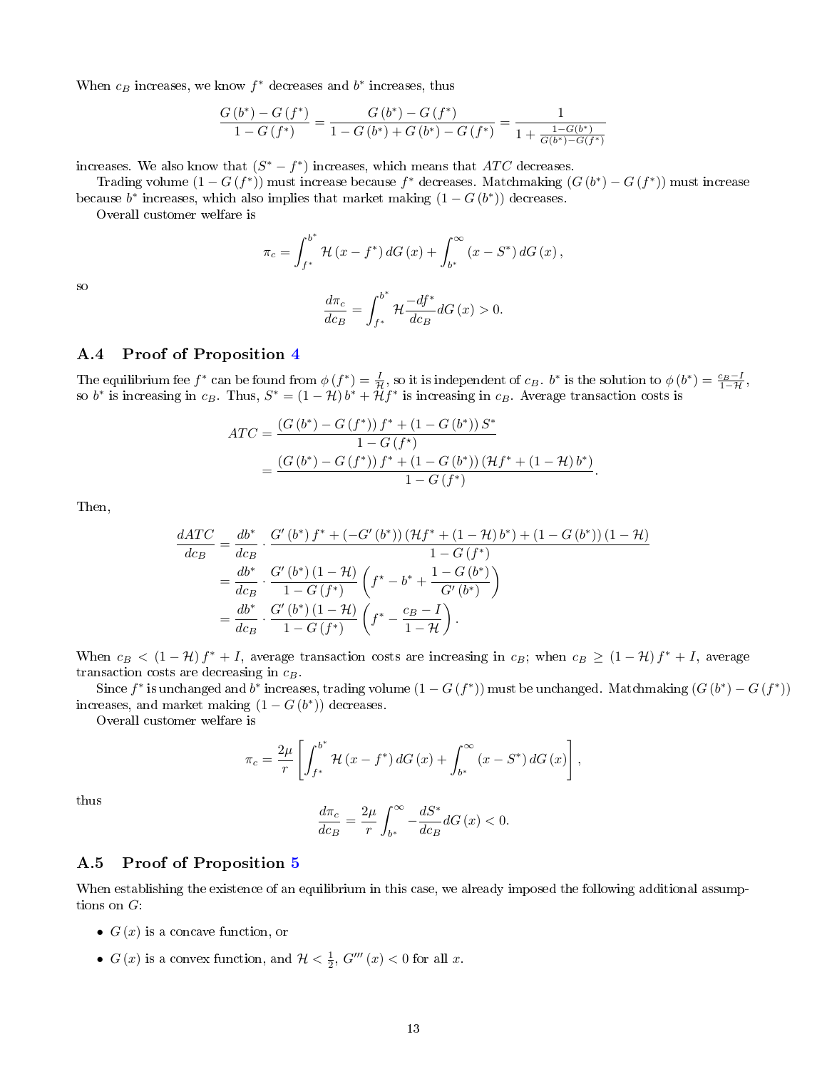When  $c_B$  increases, we know  $f^*$  decreases and  $b^*$  increases, thus

$$
\frac{G\left(b^{*}\right)-G\left(f^{*}\right)}{1-G\left(f^{*}\right)}=\frac{G\left(b^{*}\right)-G\left(f^{*}\right)}{1-G\left(b^{*}\right)+G\left(b^{*}\right)-G\left(f^{*}\right)}=\frac{1}{1+\frac{1-G\left(b^{*}\right)}{G\left(b^{*}\right)-G\left(f^{*}\right)}}
$$

increases. We also know that  $(S^* - f^*)$  increases, which means that  $ATC$  decreases.

Trading volume  $(1-G(f^*))$  must increase because  $f^*$  decreases. Matchmaking  $(G(b^*) - G(f^*))$  must increase because  $b^*$  increases, which also implies that market making  $(1-G(b^*))$  decreases.

Overall customer welfare is

$$
\pi_c = \int_{f^*}^{b^*} \mathcal{H}(x - f^*) dG(x) + \int_{b^*}^{\infty} (x - S^*) dG(x),
$$

$$
\frac{d\pi_c}{dc_B} = \int_{f^*}^{b^*} \mathcal{H} \frac{-df^*}{dc_B} dG(x) > 0.
$$

#### <span id="page-12-0"></span>A.4 Proof of Proposition [4](#page-2-4)

The equilibrium fee  $f^*$  can be found from  $\phi(f^*) = \frac{I}{\mathcal{H}}$ , so it is independent of  $c_B$ .  $b^*$  is the solution to  $\phi(b^*) = \frac{c_B - I}{1 - \mathcal{H}}$ , so  $b^*$  is increasing in  $c_B$ . Thus,  $S^* = (1 - \mathcal{H}) b^* + \tilde{\mathcal{H}} f^*$  is increasing in  $c_B$ . Average transaction costs is

$$
ATC = \frac{(G (b^*) - G (f^*)) f^* + (1 - G (b^*)) S^*}{1 - G (f^*)}
$$
  
= 
$$
\frac{(G (b^*) - G (f^*)) f^* + (1 - G (b^*)) (\mathcal{H} f^* + (1 - \mathcal{H}) b^*)}{1 - G (f^*)}.
$$

Then,

so

$$
\frac{dATC}{dc_B} = \frac{db^*}{dc_B} \cdot \frac{G'(b^*) f^* + (-G'(b^*)) (\mathcal{H}f^* + (1 - \mathcal{H})b^*) + (1 - G(b^*)) (1 - \mathcal{H})}{1 - G(f^*)}
$$
\n
$$
= \frac{db^*}{dc_B} \cdot \frac{G'(b^*)(1 - \mathcal{H})}{1 - G(f^*)} \left(f^* - b^* + \frac{1 - G(b^*)}{G'(b^*)}\right)
$$
\n
$$
= \frac{db^*}{dc_B} \cdot \frac{G'(b^*)(1 - \mathcal{H})}{1 - G(f^*)} \left(f^* - \frac{c_B - I}{1 - \mathcal{H}}\right).
$$

When  $c_B < (1 - H) f^* + I$ , average transaction costs are increasing in  $c_B$ ; when  $c_B \ge (1 - H) f^* + I$ , average transaction costs are decreasing in  $c_B$ .

Since  $f^*$  is unchanged and  $b^*$  increases, trading volume  $(1-G(f^*))$  must be unchanged. Matchmaking  $(G(b^*)-G(f^*))$ increases, and market making  $(1 - G(b^*))$  decreases.

Overall customer welfare is

$$
\pi_c = \frac{2\mu}{r} \left[ \int_{f^*}^{b^*} \mathcal{H}(x - f^*) dG(x) + \int_{b^*}^{\infty} (x - S^*) dG(x) \right],
$$

thus

$$
\frac{d\pi_{c}}{dc_{B}}=\frac{2\mu}{r}\int_{b^{*}}^{\infty}-\frac{dS^{*}}{dc_{B}}dG\left(x\right)<0.
$$

### <span id="page-12-1"></span>A.5 Proof of Proposition [5](#page-2-5)

When establishing the existence of an equilibrium in this case, we already imposed the following additional assumptions on  $G$ :

- $G(x)$  is a concave function, or
- $G(x)$  is a convex function, and  $\mathcal{H} < \frac{1}{2}$ ,  $G'''(x) < 0$  for all x.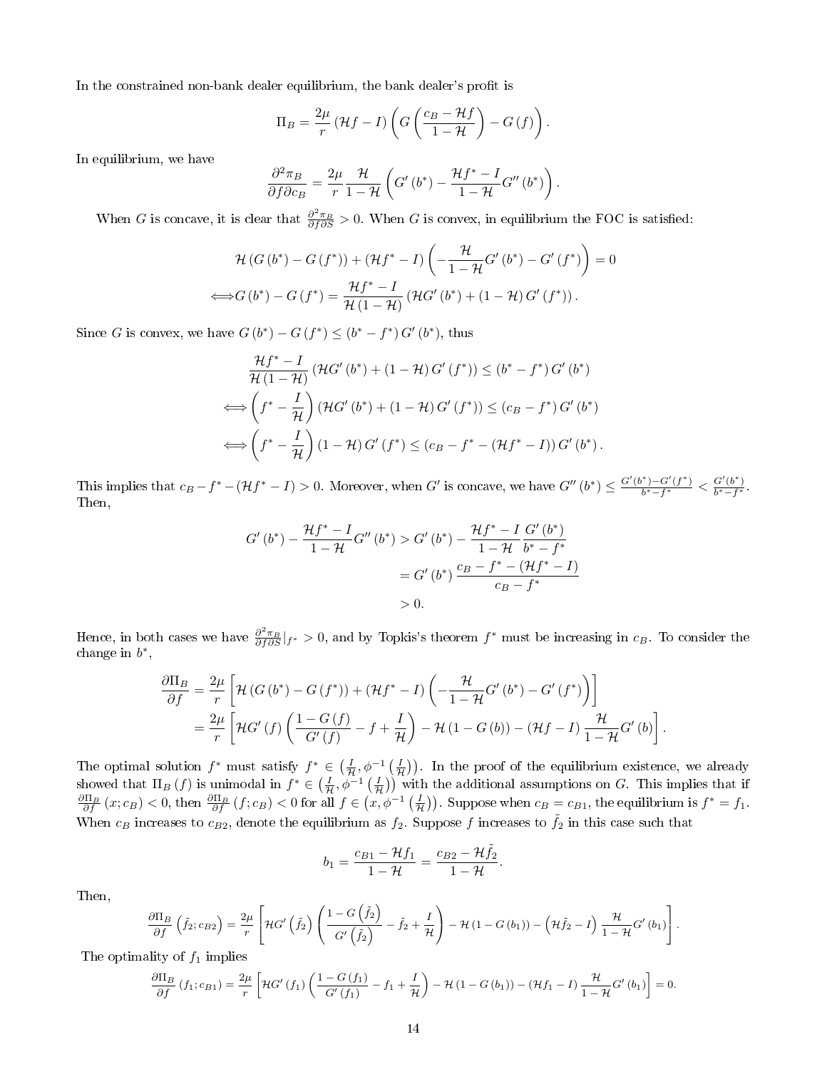In the constrained non-bank dealer equilibrium, the bank dealer's profit is

$$
\Pi_B = \frac{2\mu}{r} \left( \mathcal{H}f - I \right) \left( G \left( \frac{c_B - \mathcal{H}f}{1 - \mathcal{H}} \right) - G \left( f \right) \right).
$$

In equilibrium, we have

$$
\frac{\partial^2 \pi_B}{\partial f \partial c_B} = \frac{2\mu}{r} \frac{\mathcal{H}}{1-\mathcal{H}} \left( G' \left( b^* \right) - \frac{\mathcal{H}f^* - I}{1-\mathcal{H}} G'' \left( b^* \right) \right).
$$

When G is concave, it is clear that  $\frac{\partial^2 \pi_B}{\partial f \partial S} > 0$ . When G is convex, in equilibrium the FOC is satisfied:

$$
\mathcal{H}(G(b^*) - G(f^*)) + (\mathcal{H}f^* - I) \left( -\frac{\mathcal{H}}{1 - \mathcal{H}} G'(b^*) - G'(f^*) \right) = 0
$$
  

$$
\iff G(b^*) - G(f^*) = \frac{\mathcal{H}f^* - I}{\mathcal{H}(1 - \mathcal{H})} (\mathcal{H}G'(b^*) + (1 - \mathcal{H}) G'(f^*)).
$$

Since G is convex, we have  $G(b^*) - G(f^*) \le (b^* - f^*) G'(b^*)$ , thus

$$
\frac{\mathcal{H}f^* - I}{\mathcal{H}(1 - \mathcal{H})} (\mathcal{H}G'(b^*) + (1 - \mathcal{H})G'(f^*)) \le (b^* - f^*)G'(b^*)
$$
  

$$
\iff \left(f^* - \frac{I}{\mathcal{H}}\right) (\mathcal{H}G'(b^*) + (1 - \mathcal{H})G'(f^*)) \le (c_B - f^*)G'(b^*)
$$
  

$$
\iff \left(f^* - \frac{I}{\mathcal{H}}\right) (1 - \mathcal{H})G'(f^*) \le (c_B - f^* - (\mathcal{H}f^* - I))G'(b^*).
$$

This implies that  $c_B - f^* - (\mathcal{H}f^* - I) > 0$ . Moreover, when G' is concave, we have  $G''(b^*) \leq \frac{G'(b^*) - G'(f^*)}{b^* - f^*}$  $\frac{b^*-G'(f^*)}{b^*-f^*}<\frac{G'(b^*)}{b^*-f^*}$  $\frac{G(0)}{b^*-f^*}$ . Then,

$$
G'(b^*) - \frac{\mathcal{H}f^* - I}{1 - \mathcal{H}} G''(b^*) > G'(b^*) - \frac{\mathcal{H}f^* - I}{1 - \mathcal{H}} \frac{G'(b^*)}{b^* - f^*}
$$
  
=  $G'(b^*) \frac{c_B - f^* - (\mathcal{H}f^* - I)}{c_B - f^*}$   
> 0.

Hence, in both cases we have  $\frac{\partial^2 \pi_B}{\partial f \partial S}|_{f^*} > 0$ , and by Topkis's theorem  $f^*$  must be increasing in  $c_B$ . To consider the change in  $b^*$ ,

$$
\frac{\partial \Pi_B}{\partial f} = \frac{2\mu}{r} \left[ \mathcal{H} \left( G \left( b^* \right) - G \left( f^* \right) \right) + \left( \mathcal{H} f^* - I \right) \left( -\frac{\mathcal{H}}{1 - \mathcal{H}} G' \left( b^* \right) - G' \left( f^* \right) \right) \right]
$$
\n
$$
= \frac{2\mu}{r} \left[ \mathcal{H} G' \left( f \right) \left( \frac{1 - G \left( f \right)}{G' \left( f \right)} - f + \frac{I}{\mathcal{H}} \right) - \mathcal{H} \left( 1 - G \left( b \right) \right) - \left( \mathcal{H} f - I \right) \frac{\mathcal{H}}{1 - \mathcal{H}} G' \left( b \right) \right].
$$

The optimal solution  $f^*$  must satisfy  $f^* \in \left(\frac{I}{\mathcal{H}}, \phi^{-1}\left(\frac{I}{\mathcal{H}}\right)\right)$ . In the proof of the equilibrium existence, we already showed that  $\Pi_B(f)$  is unimodal in  $f^* \in \left(\frac{I}{H}, \phi^{-1}\left(\frac{I}{H}\right)\right)$  with the additional assumptions on G. This implies that if  $\frac{\partial \Pi_B}{\partial f}(x;c_B) < 0$ , then  $\frac{\partial \Pi_B}{\partial f}(f;c_B) < 0$  for all  $f \in (x, \phi^{-1}(\frac{I}{\mathcal{H}}))$ . Suppose when  $c_B = c_{B1}$ , the equilibrium is  $f^* = f_1$ . When  $c_B$  increases to  $c_{B2}$ , denote the equilibrium as  $f_2$ . Suppose f increases to  $\tilde{f}_2$  in this case such that

$$
b_1 = \frac{c_{B1} - \mathcal{H}f_1}{1 - \mathcal{H}} = \frac{c_{B2} - \mathcal{H}\tilde{f}_2}{1 - \mathcal{H}}.
$$

Then,

$$
\frac{\partial \Pi_B}{\partial f} \left( \tilde{f}_2; c_{B2} \right) = \frac{2\mu}{r} \left[ \mathcal{H}G' \left( \tilde{f}_2 \right) \left( \frac{1 - G \left( \tilde{f}_2 \right)}{G' \left( \tilde{f}_2 \right)} - \tilde{f}_2 + \frac{I}{\mathcal{H}} \right) - \mathcal{H} \left( 1 - G \left( b_1 \right) \right) - \left( \mathcal{H} \tilde{f}_2 - I \right) \frac{\mathcal{H}}{1 - \mathcal{H}} G' \left( b_1 \right) \right].
$$

The optimality of  $f_1$  implies

$$
\frac{\partial \Pi_B}{\partial f}(f_1; c_{B1}) = \frac{2\mu}{r} \left[ \mathcal{H}G'(f_1) \left( \frac{1 - G(f_1)}{G'(f_1)} - f_1 + \frac{I}{\mathcal{H}} \right) - \mathcal{H}(1 - G(b_1)) - (\mathcal{H}f_1 - I) \frac{\mathcal{H}}{1 - \mathcal{H}} G'(b_1) \right] = 0.
$$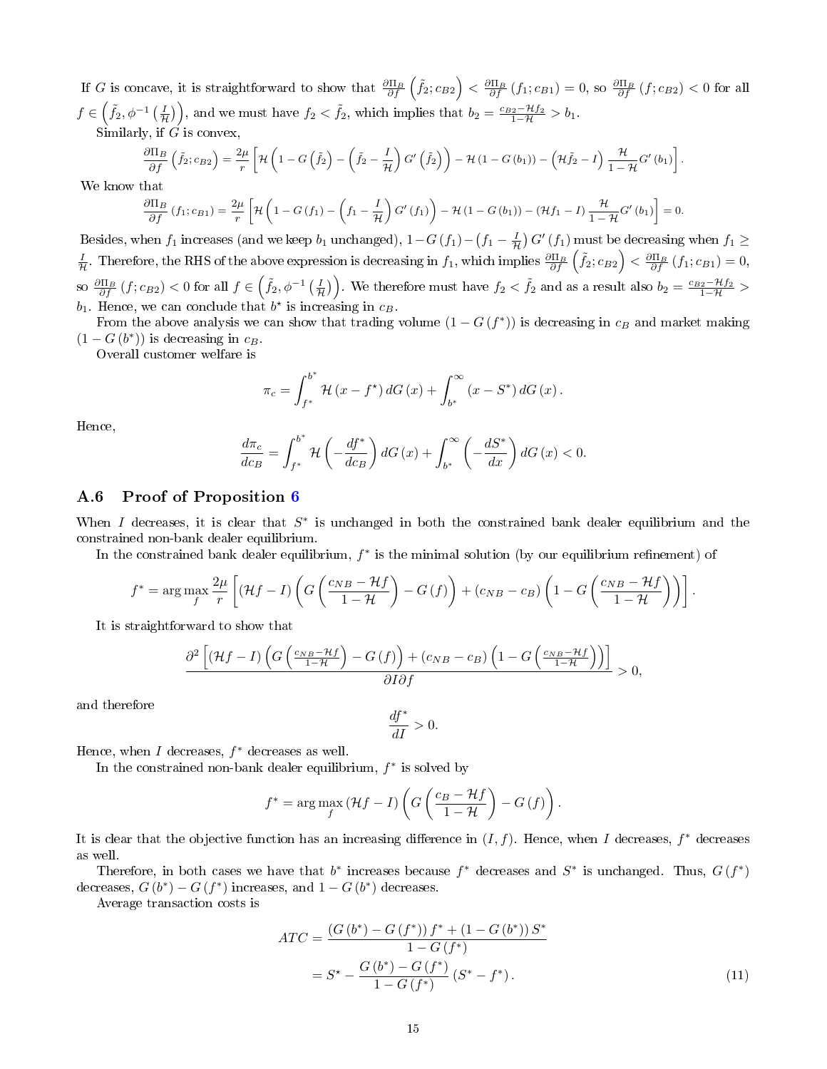If G is concave, it is straightforward to show that  $\frac{\partial \Pi_B}{\partial f}(\tilde{f}_2;c_{B2}) < \frac{\partial \Pi_B}{\partial f}(f_1;c_{B1}) = 0$ , so  $\frac{\partial \Pi_B}{\partial f}(f;c_{B2}) < 0$  for all  $f \in \left(\tilde{f}_2, \phi^{-1}\left(\frac{I}{\mathcal{H}}\right)\right)$ , and we must have  $f_2 < \tilde{f}_2$ , which implies that  $b_2 = \frac{c_{B2} - \mathcal{H}f_2}{1 - \mathcal{H}} > b_1$ . Similarly, if  $\vec{G}$  is convex

$$
\frac{\partial \Pi_B}{\partial f} \left( \tilde{f}_2; c_{B2} \right) = \frac{2\mu}{r} \left[ \mathcal{H} \left( 1 - G \left( \tilde{f}_2 \right) - \left( \tilde{f}_2 - \frac{I}{\mathcal{H}} \right) G' \left( \tilde{f}_2 \right) \right) - \mathcal{H} \left( 1 - G \left( b_1 \right) \right) - \left( \mathcal{H} \tilde{f}_2 - I \right) \frac{\mathcal{H}}{1 - \mathcal{H}} G' \left( b_1 \right) \right].
$$

We know that

$$
\frac{\partial \Pi_B}{\partial f}(f_1; c_{B1}) = \frac{2\mu}{r} \left[ \mathcal{H} \left( 1 - G(f_1) - \left( f_1 - \frac{I}{\mathcal{H}} \right) G'(f_1) \right) - \mathcal{H} \left( 1 - G(b_1) \right) - (\mathcal{H} f_1 - I) \frac{\mathcal{H}}{1 - \mathcal{H}} G'(b_1) \right] = 0.
$$

Besides, when  $f_1$  increases (and we keep  $b_1$  unchanged),  $1-G(f_1)-(f_1-\frac{I}{\mathcal{H}})$   $G'$   $(f_1)$  must be decreasing when  $f_1 \ge$  $\frac{I}{H}$ . Therefore, the RHS of the above expression is decreasing in  $f_1$ , which implies  $\frac{\partial \Pi_B}{\partial f}(\tilde{f_2}; c_{B2}) < \frac{\partial \Pi_B}{\partial f}(f_1; c_{B1}) = 0$ , so  $\frac{\partial \Pi_B}{\partial f}(f;c_{B2}) < 0$  for all  $f \in (\tilde{f}_2, \phi^{-1}(\frac{I}{\mathcal{H}}))$ . We therefore must have  $f_2 < \tilde{f}_2$  and as a result also  $b_2 = \frac{c_{B2} - \mathcal{H}f_2}{1 - \mathcal{H}} >$  $b_1$ . Hence, we can conclude that  $b^*$  is increasing in  $c_B$ .

From the above analysis we can show that trading volume  $(1-G(f^*))$  is decreasing in  $c_B$  and market making  $(1 - G(b^*))$  is decreasing in  $c_B$ .

Overall customer welfare is

$$
\pi_c = \int_{f^*}^{b^*} \mathcal{H}(x - f^*) dG(x) + \int_{b^*}^{\infty} (x - S^*) dG(x).
$$

Hence,

$$
\frac{d\pi_c}{dc_B} = \int_{f^*}^{b^*} \mathcal{H}\left(-\frac{df^*}{dc_B}\right) dG\left(x\right) + \int_{b^*}^{\infty} \left(-\frac{dS^*}{dx}\right) dG\left(x\right) < 0.
$$

# <span id="page-14-0"></span>A.6 Proof of Proposition [6](#page-3-2)

When I decreases, it is clear that  $S^*$  is unchanged in both the constrained bank dealer equilibrium and the constrained non-bank dealer equilibrium.

In the constrained bank dealer equilibrium,  $f^*$  is the minimal solution (by our equilibrium refinement) of

$$
f^* = \arg \max_{f} \frac{2\mu}{r} \left[ (\mathcal{H}f - I) \left( G \left( \frac{c_{NB} - \mathcal{H}f}{1 - \mathcal{H}} \right) - G \left( f \right) \right) + (c_{NB} - c_B) \left( 1 - G \left( \frac{c_{NB} - \mathcal{H}f}{1 - \mathcal{H}} \right) \right) \right].
$$

It is straightforward to show that

$$
\frac{\partial^2 \left[ \left(\mathcal{H}f - I \right) \left( G \left( \frac{c_{NB} - \mathcal{H}f}{1 - \mathcal{H}} \right) - G \left( f \right) \right) + \left( c_{NB} - c_B \right) \left( 1 - G \left( \frac{c_{NB} - \mathcal{H}f}{1 - \mathcal{H}} \right) \right) \right]}{\partial I \partial f} > 0,
$$

and therefore

$$
\frac{df^*}{dI}>0.
$$

Hence, when  $I$  decreases,  $f^*$  decreases as well.

In the constrained non-bank dealer equilibrium,  $f^*$  is solved by

$$
f^* = \arg \max_{f} (\mathcal{H}f - I) \left( G \left( \frac{c_B - \mathcal{H}f}{1 - \mathcal{H}} \right) - G \left( f \right) \right).
$$

It is clear that the objective function has an increasing difference in  $(I, f)$ . Hence, when I decreases,  $f^*$  decreases as well.

Therefore, in both cases we have that  $b^*$  increases because  $f^*$  decreases and  $S^*$  is unchanged. Thus,  $G(f^*)$ decreases,  $G(b^*) - G(f^*)$  increases, and  $1 - G(b^*)$  decreases.

Average transaction costs is

$$
ATC = \frac{(G(b^*) - G(f^*)) f^* + (1 - G(b^*)) S^*}{1 - G(f^*)}
$$
  
=  $S^* - \frac{G(b^*) - G(f^*)}{1 - G(f^*)} (S^* - f^*).$  (11)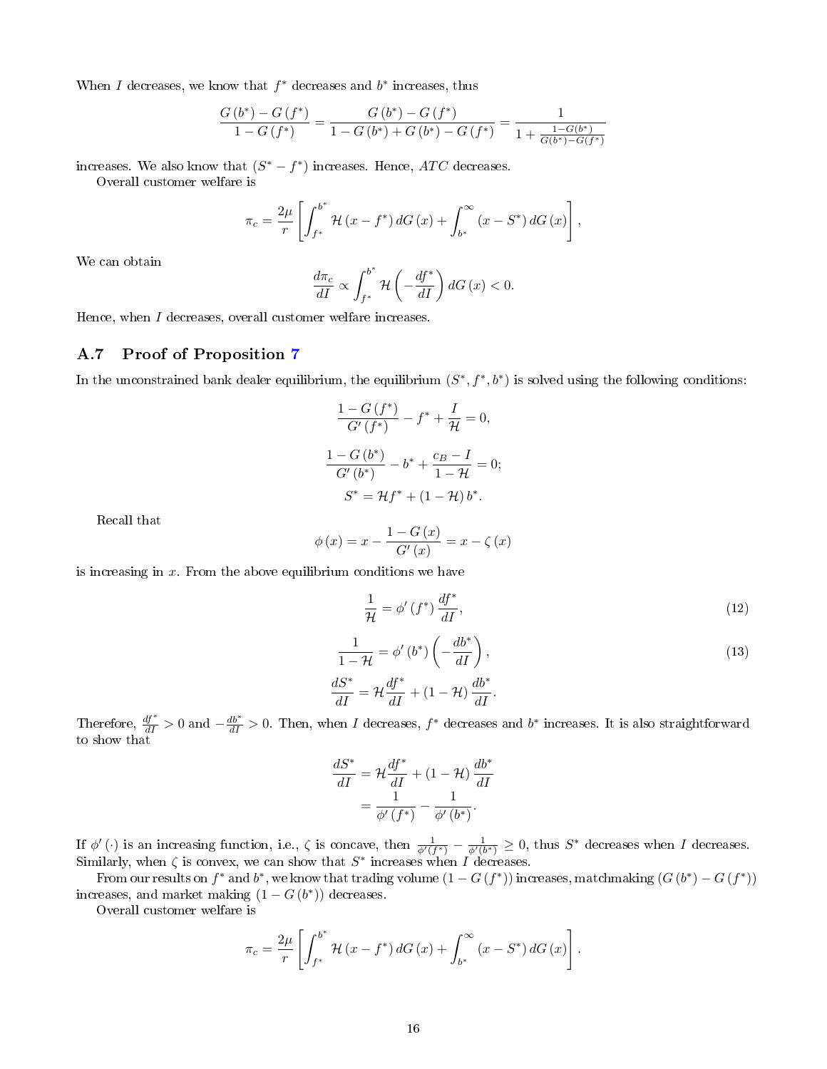When I decreases, we know that  $f^*$  decreases and  $b^*$  increases, thus

$$
\frac{G\left(b^{*}\right)-G\left(f^{*}\right)}{1-G\left(f^{*}\right)}=\frac{G\left(b^{*}\right)-G\left(f^{*}\right)}{1-G\left(b^{*}\right)+G\left(b^{*}\right)-G\left(f^{*}\right)}=\frac{1}{1+\frac{1-G\left(b^{*}\right)}{G\left(b^{*}\right)-G\left(f^{*}\right)}}
$$

increases. We also know that  $(S^* - f^*)$  increases. Hence, ATC decreases.

Overall customer welfare is

$$
\pi_c = \frac{2\mu}{r} \left[ \int_{f^*}^{b^*} \mathcal{H}(x - f^*) dG(x) + \int_{b^*}^{\infty} (x - S^*) dG(x) \right],
$$

We can obtain

$$
\frac{d\pi_c}{dI} \propto \int_{f^*}^{b^*} \mathcal{H}\left(-\frac{df^*}{dI}\right) dG\left(x\right) < 0.
$$

Hence, when I decreases, overall customer welfare increases.

# <span id="page-15-0"></span>A.7 Proof of Proposition [7](#page-3-3)

In the unconstrained bank dealer equilibrium, the equilibrium  $(S^*, f^*, b^*)$  is solved using the following conditions:

$$
\frac{1 - G(f^*)}{G'(f^*)} - f^* + \frac{I}{\mathcal{H}} = 0,
$$
  

$$
\frac{1 - G(b^*)}{G'(b^*)} - b^* + \frac{c_B - I}{1 - \mathcal{H}} = 0;
$$
  

$$
S^* = \mathcal{H}f^* + (1 - \mathcal{H})b^*.
$$

Recall that

$$
\phi(x) = x - \frac{1 - G(x)}{G'(x)} = x - \zeta(x)
$$

is increasing in  $x$ . From the above equilibrium conditions we have

<span id="page-15-1"></span>
$$
\frac{1}{\mathcal{H}} = \phi'(f^*) \frac{df^*}{dI},\tag{12}
$$

<span id="page-15-2"></span>
$$
\frac{1}{1 - \mathcal{H}} = \phi'(b^*) \left( -\frac{db^*}{dI} \right),
$$
  
\n
$$
\frac{dS^*}{dI} = \mathcal{H} \frac{df^*}{dI} + (1 - \mathcal{H}) \frac{db^*}{dI}.
$$
\n(13)

Therefore,  $\frac{df^*}{dI} > 0$  and  $-\frac{db^*}{dI} > 0$ . Then, when I decreases,  $f^*$  decreases and  $b^*$  increases. It is also straightforward to show that

$$
\frac{dS^*}{dI} = \mathcal{H}\frac{df^*}{dI} + (1 - \mathcal{H})\frac{db^*}{dI}
$$

$$
= \frac{1}{\phi'(f^*)} - \frac{1}{\phi'(b^*)}.
$$

If  $\phi'(\cdot)$  is an increasing function, i.e.,  $\zeta$  is concave, then  $\frac{1}{\phi'(f^*)} - \frac{1}{\phi'(b^*)} \geq 0$ , thus  $S^*$  decreases when I decreases. Similarly, when  $\zeta$  is convex, we can show that  $S^*$  increases when I decreases.

From our results on  $f^*$  and  $b^*$ , we know that trading volume  $(1-G(f^*))$  increases, matchmaking  $(G(b^*)-G(f^*))$ increases, and market making  $(1 - G(b^*))$  decreases.

Overall customer welfare is

$$
\pi_c = \frac{2\mu}{r} \left[ \int_{f^*}^{b^*} \mathcal{H}(x - f^*) dG(x) + \int_{b^*}^{\infty} (x - S^*) dG(x) \right].
$$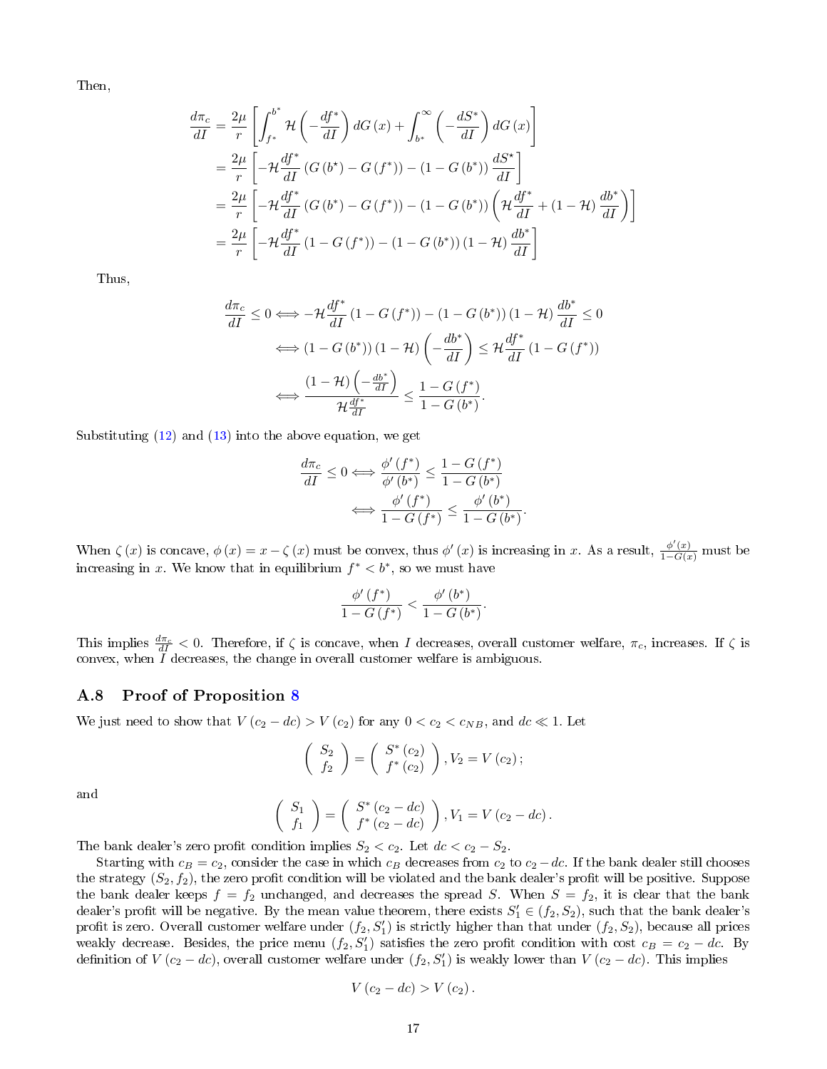Then,

$$
\frac{d\pi_c}{dI} = \frac{2\mu}{r} \left[ \int_{f^*}^{b^*} \mathcal{H} \left( -\frac{df^*}{dI} \right) dG \left( x \right) + \int_{b^*}^{\infty} \left( -\frac{dS^*}{dI} \right) dG \left( x \right) \right]
$$
\n
$$
= \frac{2\mu}{r} \left[ -\mathcal{H} \frac{df^*}{dI} \left( G \left( b^* \right) - G \left( f^* \right) \right) - (1 - G \left( b^* \right)) \frac{dS^*}{dI} \right]
$$
\n
$$
= \frac{2\mu}{r} \left[ -\mathcal{H} \frac{df^*}{dI} \left( G \left( b^* \right) - G \left( f^* \right) \right) - (1 - G \left( b^* \right)) \left( \mathcal{H} \frac{df^*}{dI} + (1 - \mathcal{H}) \frac{db^*}{dI} \right) \right]
$$
\n
$$
= \frac{2\mu}{r} \left[ -\mathcal{H} \frac{df^*}{dI} \left( 1 - G \left( f^* \right) \right) - (1 - G \left( b^* \right) \right) \left( 1 - \mathcal{H} \right) \frac{db^*}{dI} \right]
$$

Thus,

$$
\frac{d\pi_c}{dI} \le 0 \Longleftrightarrow -\mathcal{H} \frac{df^*}{dI} \left(1 - G\left(f^*\right)\right) - \left(1 - G\left(b^*\right)\right) \left(1 - \mathcal{H}\right) \frac{db^*}{dI} \le 0
$$
\n
$$
\Longleftrightarrow \left(1 - G\left(b^*\right)\right) \left(1 - \mathcal{H}\right) \left(-\frac{db^*}{dI}\right) \le \mathcal{H} \frac{df^*}{dI} \left(1 - G\left(f^*\right)\right)
$$
\n
$$
\Longleftrightarrow \frac{\left(1 - \mathcal{H}\right) \left(-\frac{db^*}{dI}\right)}{\mathcal{H} \frac{df^*}{dI}} \le \frac{1 - G\left(f^*\right)}{1 - G\left(b^*\right)}.
$$

Substituting  $(12)$  and  $(13)$  into the above equation, we get

$$
\frac{d\pi_c}{dI} \le 0 \Longleftrightarrow \frac{\phi'(f^*)}{\phi'(b^*)} \le \frac{1 - G(f^*)}{1 - G(b^*)}
$$

$$
\Longleftrightarrow \frac{\phi'(f^*)}{1 - G(f^*)} \le \frac{\phi'(b^*)}{1 - G(b^*)}.
$$

When  $\zeta(x)$  is concave,  $\phi(x) = x - \zeta(x)$  must be convex, thus  $\phi'(x)$  is increasing in x. As a result,  $\frac{\phi'(x)}{1 - G(x)}$  must be increasing in x. We know that in equilibrium  $f^* < b^*$ , so we must have

$$
\frac{\phi'\left(f^*\right)}{1-G\left(f^*\right)} < \frac{\phi'\left(b^*\right)}{1-G\left(b^*\right)}.
$$

This implies  $\frac{d\pi_c}{dI} < 0$ . Therefore, if  $\zeta$  is concave, when I decreases, overall customer welfare,  $\pi_c$ , increases. If  $\zeta$  is convex, when  $I$  decreases, the change in overall customer welfare is ambiguous.

### <span id="page-16-0"></span>A.8 Proof of Proposition [8](#page-3-4)

We just need to show that  $V(c_2 - dc) > V(c_2)$  for any  $0 < c_2 < c_{NB}$ , and  $dc \ll 1$ . Let

$$
\left(\begin{array}{c} S_2\\ f_2 \end{array}\right) = \left(\begin{array}{c} S^* \left(c_2\right)\\ f^* \left(c_2\right) \end{array}\right), V_2 = V \left(c_2\right);
$$

and

$$
\begin{pmatrix} S_1 \\ f_1 \end{pmatrix} = \begin{pmatrix} S^*(c_2 - dc) \\ f^*(c_2 - dc) \end{pmatrix}, V_1 = V(c_2 - dc).
$$

The bank dealer's zero profit condition implies  $S_2 < c_2$ . Let  $dc < c_2 - S_2$ .

Starting with  $c_B = c_2$ , consider the case in which  $c_B$  decreases from  $c_2$  to  $c_2 - dc$ . If the bank dealer still chooses the strategy  $(S_2, f_2)$ , the zero profit condition will be violated and the bank dealer's profit will be positive. Suppose the bank dealer keeps  $f = f_2$  unchanged, and decreases the spread S. When  $S = f_2$ , it is clear that the bank dealer's profit will be negative. By the mean value theorem, there exists  $S'_1 \in (f_2, S_2)$ , such that the bank dealer's profit is zero. Overall customer welfare under  $(f_2, S_1')$  is strictly higher than that under  $(f_2, S_2)$ , because all prices weakly decrease. Besides, the price menu  $(f_2, S'_1)$  satisfies the zero profit condition with cost  $c_B = c_2 - dc$ . By definition of  $V(c_2 - dc)$ , overall customer welfare under  $(f_2, S'_1)$  is weakly lower than  $V(c_2 - dc)$ . This implies

$$
V(c_2 - dc) > V(c_2).
$$